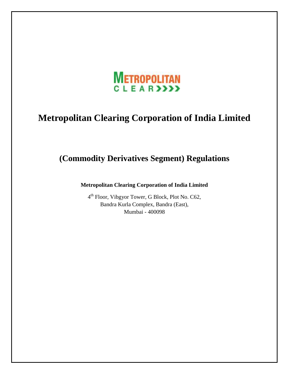

# **Metropolitan Clearing Corporation of India Limited**

# **(Commodity Derivatives Segment) Regulations**

**Metropolitan Clearing Corporation of India Limited** 

4<sup>th</sup> Floor, Vibgyor Tower, G Block, Plot No. C62, Bandra Kurla Complex, Bandra (East), Mumbai - 400098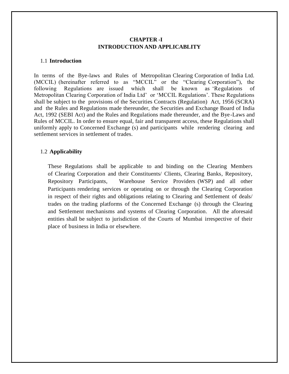# **CHAPTER -I INTRODUCTION AND APPLICABLITY**

### 1.1 **Introduction**

In terms of the Bye-laws and Rules of Metropolitan Clearing Corporation of India Ltd. (MCCIL) (hereinafter referred to as "MCCIL" or the "Clearing Corporation"), the following Regulations are issued which shall be known as 'Regulations of Metropolitan Clearing Corporation of India Ltd' or 'MCCIL Regulations'. These Regulations shall be subject to the provisions of the Securities Contracts (Regulation) Act, 1956 (SCRA) and the Rules and Regulations made thereunder, the Securities and Exchange Board of India Act, 1992 (SEBI Act) and the Rules and Regulations made thereunder, and the Bye-Laws and Rules of MCCIL. In order to ensure equal, fair and transparent access, these Regulations shall uniformly apply to Concerned Exchange (s) and participants while rendering clearing and settlement services in settlement of trades.

### 1.2 **Applicability**

These Regulations shall be applicable to and binding on the Clearing Members of Clearing Corporation and their Constituents/ Clients, Clearing Banks, Repository, Repository Participants, Warehouse Service Providers (WSP) and all other Participants rendering services or operating on or through the Clearing Corporation in respect of their rights and obligations relating to Clearing and Settlement of deals/ trades on the trading platforms of the Concerned Exchange (s) through the Clearing and Settlement mechanisms and systems of Clearing Corporation. All the aforesaid entities shall be subject to jurisdiction of the Courts of Mumbai irrespective of their place of business in India or elsewhere.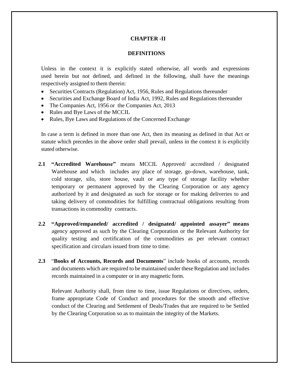# **CHAPTER -II**

### **DEFINITIONS**

Unless in the context it is explicitly stated otherwise, all words and expressions used herein but not defined, and defined in the following, shall have the meanings respectively assigned to them therein:

- Securities Contracts (Regulation) Act, 1956, Rules and Regulations thereunder
- Securities and Exchange Board of India Act, 1992, Rules and Regulations thereunder
- The Companies Act, 1956 or the Companies Act, 2013
- Rules and Bye Laws of the MCCIL
- Rules, Bye Laws and Regulations of the Concerned Exchange

In case a term is defined in more than one Act, then its meaning as defined in that Act or statute which precedes in the above order shall prevail, unless in the context it is explicitly stated otherwise.

- **2.1 "Accredited Warehouse"** means MCCIL Approved/ accredited / designated Warehouse and which includes any place of storage, go-down, warehouse, tank, cold storage, silo, store house, vault or any type of storage facility whether temporary or permanent approved by the Clearing Corporation or any agency authorized by it and designated as such for storage or for making deliveries to and taking delivery of commodities for fulfilling contractual obligations resulting from transactions in commodity contracts.
- **2.2 "Approved/empaneled/ accredited / designated/ appointed assayer" means** agency approved as such by the Clearing Corporation or the Relevant Authority for quality testing and certification of the commodities as per relevant contract specification and circulars issued from time to time.
- **2.3** "**Books of Accounts, Records and Documents**" include books of accounts, records and documents which are required to be maintained under these Regulation and includes records maintained in a computer or in any magnetic form.

Relevant Authority shall, from time to time, issue Regulations or directives, orders, frame appropriate Code of Conduct and procedures for the smooth and effective conduct of the Clearing and Settlement of Deals/Trades that are required to be Settled by the Clearing Corporation so as to maintain the integrity of the Markets.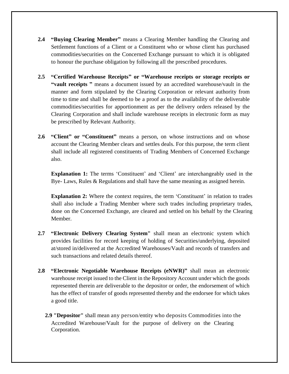- **2.4 "Buying Clearing Member"** means a Clearing Member handling the Clearing and Settlement functions of a Client or a Constituent who or whose client has purchased commodities/securities on the Concerned Exchange pursuant to which it is obligated to honour the purchase obligation by following all the prescribed procedures.
- **2.5 "Certified Warehouse Receipts" or "Warehouse receipts or storage receipts or "vault receipts "** means a document issued by an accredited warehouse/vault in the manner and form stipulated by the Clearing Corporation or relevant authority from time to time and shall be deemed to be a proof as to the availability of the deliverable commodities/securities for apportionment as per the delivery orders released by the Clearing Corporation and shall include warehouse receipts in electronic form as may be prescribed by Relevant Authority.
- **2.6 "Client" or "Constituent"** means a person, on whose instructions and on whose account the Clearing Member clears and settles deals. For this purpose, the term client shall include all registered constituents of Trading Members of Concerned Exchange also.

**Explanation 1:** The terms 'Constituent' and 'Client' are interchangeably used in the Bye- Laws, Rules & Regulations and shall have the same meaning as assigned herein.

**Explanation 2:** Where the context requires, the term 'Constituent' in relation to trades shall also include a Trading Member where such trades including proprietary trades, done on the Concerned Exchange, are cleared and settled on his behalf by the Clearing Member.

- **2.7 "Electronic Delivery Clearing System"** shall mean an electronic system which provides facilities for record keeping of holding of Securities/underlying, deposited at/stored in/delivered at the Accredited Warehouses/Vault and records of transfers and such transactions and related details thereof.
- **2.8 "Electronic Negotiable Warehouse Receipts (eNWR)"** shall mean an electronic warehouse receipt issued to the Client in the Repository Account under which the goods represented therein are deliverable to the depositor or order, the endorsement of which has the effect of transfer of goods represented thereby and the endorsee for which takes a good title.
	- **2.9 "Depositor"** shall mean any person/entity who deposits Commodities into the Accredited Warehouse/Vault for the purpose of delivery on the Clearing Corporation.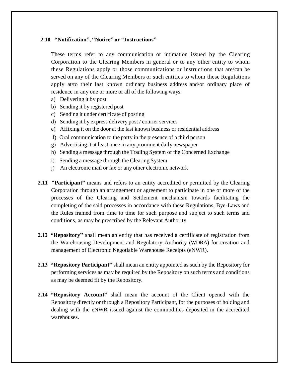# **2.10 "Notification", "Notice" or "Instructions"**

These terms refer to any communication or intimation issued by the Clearing Corporation to the Clearing Members in general or to any other entity to whom these Regulations apply or those communications or instructions that are/can be served on any of the Clearing Members or such entities to whom these Regulations apply at/to their last known ordinary business address and/or ordinary place of residence in any one or more or all of the following ways:

- a) Delivering it by post
- b) Sending it by registered post
- c) Sending it under certificate of posting
- d) Sending it by express delivery post / courier services
- e) Affixing it on the door at the last known business or residential address
- f) Oral communication to the party in the presence of a third person
- g) Advertising it at least once in any prominent daily newspaper
- h) Sending a message through the Trading System of the Concerned Exchange
- i) Sending a message through the Clearing System
- j) An electronic mail or fax or any other electronic network
- **2.11 "Participant"** means and refers to an entity accredited or permitted by the Clearing Corporation through an arrangement or agreement to participate in one or more of the processes of the Clearing and Settlement mechanism towards facilitating the completing of the said processes in accordance with these Regulations, Bye-Laws and the Rules framed from time to time for such purpose and subject to such terms and conditions, as may be prescribed by the Relevant Authority.
- **2.12 "Repository"** shall mean an entity that has received a certificate of registration from the Warehousing Development and Regulatory Authority (WDRA) for creation and management of Electronic Negotiable Warehouse Receipts (eNWR).
- **2.13 "Repository Participant"** shall mean an entity appointed as such by the Repository for performing services as may be required by the Repository on such terms and conditions as may be deemed fit by the Repository.
- **2.14 "Repository Account"** shall mean the account of the Client opened with the Repository directly or through a Repository Participant, for the purposes of holding and dealing with the eNWR issued against the commodities deposited in the accredited warehouses.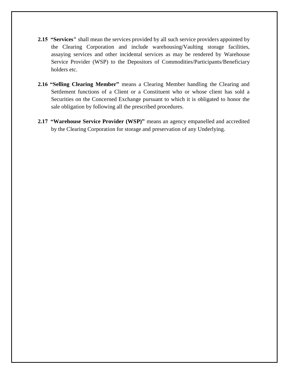- **2.15 "Services"** shall mean the services provided by all such service providers appointed by the Clearing Corporation and include warehousing/Vaulting storage facilities, assaying services and other incidental services as may be rendered by Warehouse Service Provider (WSP) to the Depositors of Commodities/Participants/Beneficiary holders etc.
- **2.16 "Selling Clearing Member"** means a Clearing Member handling the Clearing and Settlement functions of a Client or a Constituent who or whose client has sold a Securities on the Concerned Exchange pursuant to which it is obligated to honor the sale obligation by following all the prescribed procedures.
- **2.17 "Warehouse Service Provider (WSP)"** means an agency empanelled and accredited by the Clearing Corporation for storage and preservation of any Underlying.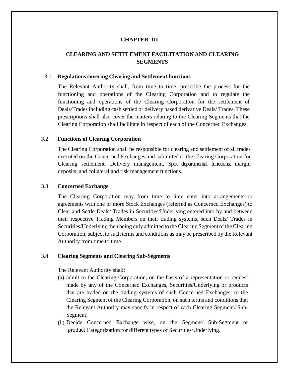# **CHAPTER -III**

# **CLEARING AND SETTLEMENT FACILITATION AND CLEARING SEGMENTS**

### 3.1 **Regulations covering Clearing and Settlement functions**

The Relevant Authority shall, from time to time, prescribe the process for the functioning and operations of the Clearing Corporation and to regulate the functioning and operations of the Clearing Corporation for the settlement of Deals/Trades including cash settled or delivery based derivative Deals/ Trades. These prescriptions shall also cover the matters relating to the Clearing Segments that the Clearing Corporation shall facilitate in respect of each of the Concerned Exchanges.

### 3.2 **Functions of Clearing Corporation**

The Clearing Corporation shall be responsible for clearing and settlement of all trades executed on the Concerned Exchanges and submitted to the Clearing Corporation for Clearing settlement, Delivery management, Spot departmental functions, margin deposits, and collateral and risk management functions.

#### 3.3 **Concerned Exchange**

The Clearing Corporation may from time to time enter into arrangements or agreements with one or more Stock Exchanges (referred as Concerned Exchanges) to Clear and Settle Deals/ Trades in Securities/Underlying entered into by and between their respective Trading Members on their trading systems, such Deals/ Trades in Securities/Underlying then being duly admitted to the Clearing Segment of the Clearing Corporation, subject to such terms and conditions as may be prescribed by the Relevant Authority from time to time.

### 3.4 **Clearing Segments and Clearing Sub-Segments**

The Relevant Authority shall:

- (a) admit to the Clearing Corporation, on the basis of a representation or request made by any of the Concerned Exchanges, Securities/Underlying or products that are traded on the trading systems of such Concerned Exchanges, to the Clearing Segment of the Clearing Corporation, on such terms and conditions that the Relevant Authority may specify in respect of each Clearing Segment/ Sub-Segment;
- (b) Decide Concerned Exchange wise, on the Segment/ Sub-Segment or product Categorization for different types of Securities/Underlying.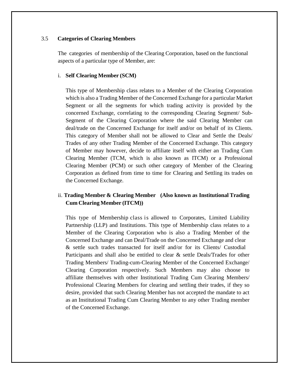### 3.5 **Categories of Clearing Members**

The categories of membership of the Clearing Corporation, based on the functional aspects of a particular type of Member, are:

### i. **Self Clearing Member (SCM)**

This type of Membership class relates to a Member of the Clearing Corporation which is also a Trading Member of the Concerned Exchange for a particular Market Segment or all the segments for which trading activity is provided by the concerned Exchange, correlating to the corresponding Clearing Segment/ Sub-Segment of the Clearing Corporation where the said Clearing Member can deal/trade on the Concerned Exchange for itself and/or on behalf of its Clients. This category of Member shall not be allowed to Clear and Settle the Deals/ Trades of any other Trading Member of the Concerned Exchange. This category of Member may however, decide to affiliate itself with either an Trading Cum Clearing Member (TCM, which is also known as ITCM) or a Professional Clearing Member (PCM) or such other category of Member of the Clearing Corporation as defined from time to time for Clearing and Settling its trades on the Concerned Exchange.

# ii. **Trading Member & Clearing Member (Also known as Institutional Trading Cum Clearing Member (ITCM))**

This type of Membership class is allowed to Corporates, Limited Liability Partnership (LLP) and Institutions. This type of Membership class relates to a Member of the Clearing Corporation who is also a Trading Member of the Concerned Exchange and can Deal/Trade on the Concerned Exchange and clear & settle such trades transacted for itself and/or for its Clients/ Custodial Participants and shall also be entitled to clear & settle Deals/Trades for other Trading Members/ Trading-cum-Clearing Member of the Concerned Exchange/ Clearing Corporation respectively. Such Members may also choose to affiliate themselves with other Institutional Trading Cum Clearing Members/ Professional Clearing Members for clearing and settling their trades, if they so desire, provided that such Clearing Member has not accepted the mandate to act as an Institutional Trading Cum Clearing Member to any other Trading member of the Concerned Exchange.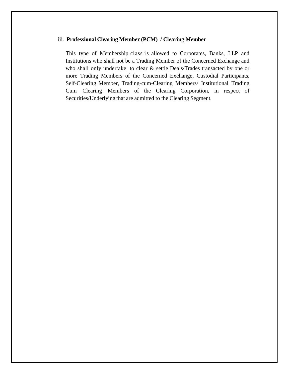#### iii. **Professional Clearing Member (PCM) / Clearing Member**

This type of Membership class is allowed to Corporates, Banks, LLP and Institutions who shall not be a Trading Member of the Concerned Exchange and who shall only undertake to clear & settle Deals/Trades transacted by one or more Trading Members of the Concerned Exchange, Custodial Participants, Self-Clearing Member, Trading-cum-Clearing Members/ Institutional Trading Cum Clearing Members of the Clearing Corporation, in respect of Securities/Underlying that are admitted to the Clearing Segment.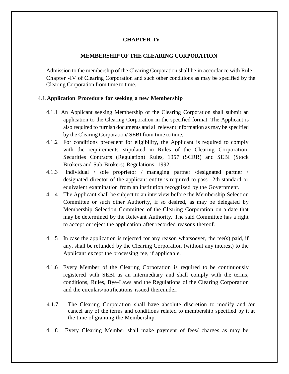# **CHAPTER -IV**

### **MEMBERSHIP OF THE CLEARING CORPORATION**

Admission to the membership of the Clearing Corporation shall be in accordance with Rule Chapter -IV of Clearing Corporation and such other conditions as may be specified by the Clearing Corporation from time to time.

# 4.1.**Application Procedure for seeking a new Membership**

- 4.1.1 An Applicant seeking Membership of the Clearing Corporation shall submit an application to the Clearing Corporation in the specified format. The Applicant is also required to furnish documents and all relevant information as may be specified by the Clearing Corporation/ SEBI from time to time.
- 4.1.2 For conditions precedent for eligibility, the Applicant is required to comply with the requirements stipulated in Rules of the Clearing Corporation, Securities Contracts (Regulation) Rules, 1957 (SCRR) and SEBI (Stock Brokers and Sub-Brokers) Regulations, 1992.
- 4.1.3 Individual / sole proprietor / managing partner /designated partner / designated director of the applicant entity is required to pass 12th standard or equivalent examination from an institution recognized by the Government.
- 4.1.4 The Applicant shall be subject to an interview before the Membership Selection Committee or such other Authority, if so desired, as may be delegated by Membership Selection Committee of the Clearing Corporation on a date that may be determined by the Relevant Authority. The said Committee has a right to accept or reject the application after recorded reasons thereof.
- 4.1.5 In case the application is rejected for any reason whatsoever, the fee(s) paid, if any, shall be refunded by the Clearing Corporation (without any interest) to the Applicant except the processing fee, if applicable.
- 4.1.6 Every Member of the Clearing Corporation is required to be continuously registered with SEBI as an intermediary and shall comply with the terms, conditions, Rules, Bye-Laws and the Regulations of the Clearing Corporation and the circulars/notifications issued thereunder.
- 4.1.7 The Clearing Corporation shall have absolute discretion to modify and /or cancel any of the terms and conditions related to membership specified by it at the time of granting the Membership.
- 4.1.8 Every Clearing Member shall make payment of fees/ charges as may be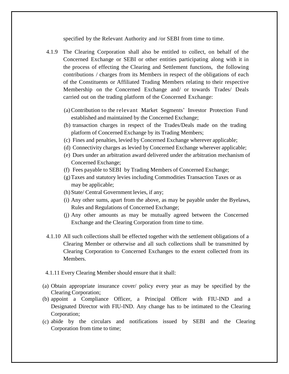specified by the Relevant Authority and /or SEBI from time to time.

- 4.1.9 The Clearing Corporation shall also be entitled to collect, on behalf of the Concerned Exchange or SEBI or other entities participating along with it in the process of effecting the Clearing and Settlement functions, the following contributions / charges from its Members in respect of the obligations of each of the Constituents or Affiliated Trading Members relating to their respective Membership on the Concerned Exchange and/ or towards Trades/ Deals carried out on the trading platform of the Concerned Exchange:
	- (a) Contribution to the relevant Market Segments' Investor Protection Fund established and maintained by the Concerned Exchange;
	- (b) transaction charges in respect of the Trades/Deals made on the trading platform of Concerned Exchange by its Trading Members;
	- (c) Fines and penalties, levied by Concerned Exchange wherever applicable;
	- (d) Connectivity charges as levied by Concerned Exchange wherever applicable;
	- (e) Dues under an arbitration award delivered under the arbitration mechanism of Concerned Exchange;
	- (f) Fees payable to SEBI by Trading Members of Concerned Exchange;
	- (g) Taxes and statutory levies including Commodities Transaction Taxes or as may be applicable;
	- (h) State/ Central Government levies, if any;
	- (i) Any other sums, apart from the above, as may be payable under the Byelaws, Rules and Regulations of Concerned Exchange;
	- (j) Any other amounts as may be mutually agreed between the Concerned Exchange and the Clearing Corporation from time to time.
- 4.1.10 All such collections shall be effected together with the settlement obligations of a Clearing Member or otherwise and all such collections shall be transmitted by Clearing Corporation to Concerned Exchanges to the extent collected from its Members.
- 4.1.11 Every Clearing Member should ensure that it shall:
- (a) Obtain appropriate insurance cover/ policy every year as may be specified by the Clearing Corporation;
- (b) appoint a Compliance Officer, a Principal Officer with FIU-IND and a Designated Director with FIU-IND. Any change has to be intimated to the Clearing Corporation;
- (c) abide by the circulars and notifications issued by SEBI and the Clearing Corporation from time to time;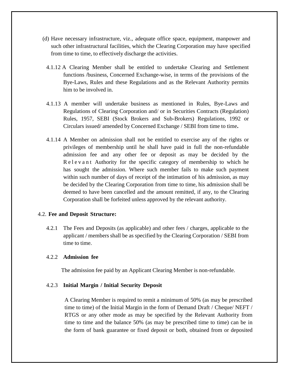- (d) Have necessary infrastructure, viz., adequate office space, equipment, manpower and such other infrastructural facilities, which the Clearing Corporation may have specified from time to time, to effectively discharge the activities.
- 4.1.12 A Clearing Member shall be entitled to undertake Clearing and Settlement functions /business, Concerned Exchange-wise, in terms of the provisions of the Bye-Laws, Rules and these Regulations and as the Relevant Authority permits him to be involved in.
- 4.1.13 A member will undertake business as mentioned in Rules, Bye-Laws and Regulations of Clearing Corporation and/ or in Securities Contracts (Regulation) Rules, 1957, SEBI (Stock Brokers and Sub-Brokers) Regulations, 1992 or Circulars issued/ amended by Concerned Exchange / SEBI from time to time**.**
- 4.1.14 A Member on admission shall not be entitled to exercise any of the rights or privileges of membership until he shall have paid in full the non-refundable admission fee and any other fee or deposit as may be decided by the R e l e v a n t Authority for the specific category of membership to which he has sought the admission. Where such member fails to make such payment within such number of days of receipt of the intimation of his admission, as may be decided by the Clearing Corporation from time to time, his admission shall be deemed to have been cancelled and the amount remitted, if any, to the Clearing Corporation shall be forfeited unless approved by the relevant authority.

### 4.2. **Fee and Deposit Structure:**

4.2.1 The Fees and Deposits (as applicable) and other fees / charges, applicable to the applicant / members shall be as specified by the Clearing Corporation / SEBI from time to time.

# 4.2.2 **Admission fee**

The admission fee paid by an Applicant Clearing Member is non-refundable.

### 4.2.3 **Initial Margin / Initial Security Deposit**

A Clearing Member is required to remit a minimum of 50% (as may be prescribed time to time) of the Initial Margin in the form of Demand Draft / Cheque/ NEFT / RTGS or any other mode as may be specified by the Relevant Authority from time to time and the balance 50% (as may be prescribed time to time) can be in the form of bank guarantee or fixed deposit or both, obtained from or deposited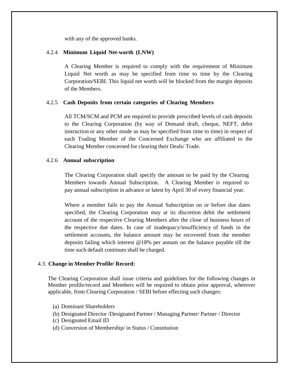with any of the approved banks.

### 4.2.4 **Minimum Liquid Net-worth (LNW)**

A Clearing Member is required to comply with the requirement of Minimum Liquid Net worth as may be specified from time to time by the Clearing Corporation/SEBI. This liquid net worth will be blocked from the margin deposits of the Members.

### 4.2.5 **Cash Deposits from certain categories of Clearing Members**

All TCM/SCM and PCM are required to provide prescribed levels of cash deposits to the Clearing Corporation (by way of Demand draft, cheque, NEFT, debit instruction or any other mode as may be specified from time to time) in respect of each Trading Member of the Concerned Exchange who are affiliated to the Clearing Member concerned for clearing their Deals/ Trade.

### 4.2.6 **Annual subscription**

The Clearing Corporation shall specify the amount to be paid by the Clearing Members towards Annual Subscription. A Clearing Member is required to pay annual subscription in advance or latest by April 30 of every financial year.

Where a member fails to pay the Annual Subscription on or before due dates specified, the Clearing Corporation may at its discretion debit the settlement account of the respective Clearing Members after the close of business hours of the respective due dates. In case of inadequacy/insufficiency of funds in the settlement accounts, the balance amount may be recovered from the member deposits failing which interest @18% per annum on the balance payable till the time such default continues shall be charged.

### 4.3. **Change in Member Profile/ Record:**

The Clearing Corporation shall issue criteria and guidelines for the following changes in Member profile/record and Members will be required to obtain prior approval, wherever applicable, from Clearing Corporation / SEBI before effecting such changes:

- (a) Dominant Shareholders
- (b) Designated Director /Designated Partner / Managing Partner/ Partner / Director
- (c) Designated Email ID
- (d) Conversion of Membership/ in Status / Constitution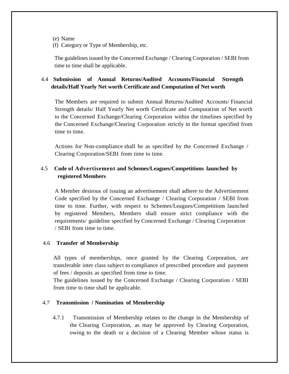- (e) Name
- (f) Category or Type of Membership, etc.

The guidelines issued by the Concerned Exchange / Clearing Corporation / SEBI from time to time shall be applicable.

# 4.4 **Submission of Annual Returns/Audited Accounts/Financial Strength details/Half Yearly Net worth Certificate and Computation of Net worth**

The Members are required to submit Annual Returns/Audited Accounts/ Financial Strength details/ Half Yearly Net worth Certificate and Computation of Net worth to the Concerned Exchange/Clearing Corporation within the timelines specified by the Concerned Exchange/Clearing Corporation strictly in the format specified from time to time.

Actions for Non-compliance shall be as specified by the Concerned Exchange / Clearing Corporation/SEBI from time to time.

# 4.5 **Code of Advertisement and Schemes/Leagues/Competitions launched by registered Members**

A Member desirous of issuing an advertisement shall adhere to the Advertisement Code specified by the Concerned Exchange / Clearing Corporation / SEBI from time to time. Further, with respect to Schemes/Leagues/Competitions launched by registered Members, Members shall ensure strict compliance with the requirements/ guideline specified by Concerned Exchange / Clearing Corporation / SEBI from time to time.

# 4.6 **Transfer of Membership**

All types of memberships, once granted by the Clearing Corporation, are transferable inter class subject to compliance of prescribed procedure and payment of fees / deposits as specified from time to time.

The guidelines issued by the Concerned Exchange / Clearing Corporation / SEBI from time to time shall be applicable.

# 4.7 **Transmission / Nomination of Membership**

4.7.1 Transmission of Membership relates to the change in the Membership of the Clearing Corporation, as may be approved by Clearing Corporation, owing to the death or a decision of a Clearing Member whose status is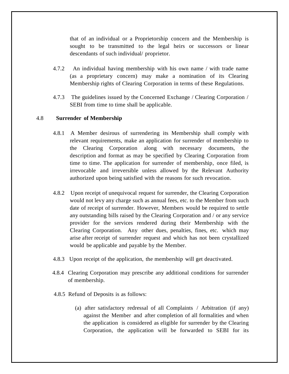that of an individual or a Proprietorship concern and the Membership is sought to be transmitted to the legal heirs or successors or linear descendants of such individual/ proprietor.

- 4.7.2 An individual having membership with his own name / with trade name (as a proprietary concern) may make a nomination of its Clearing Membership rights of Clearing Corporation in terms of these Regulations.
- 4.7.3 The guidelines issued by the Concerned Exchange / Clearing Corporation / SEBI from time to time shall be applicable.

# 4.8 **Surrender of Membership**

- 4.8.1 A Member desirous of surrendering its Membership shall comply with relevant requirements, make an application for surrender of membership to the Clearing Corporation along with necessary documents, the description and format as may be specified by Clearing Corporation from time to time. The application for surrender of membership, once filed, is irrevocable and irreversible unless allowed by the Relevant Authority authorized upon being satisfied with the reasons for such revocation.
- 4.8.2 Upon receipt of unequivocal request for surrender, the Clearing Corporation would not levy any charge such as annual fees, etc. to the Member from such date of receipt of surrender. However, Members would be required to settle any outstanding bills raised by the Clearing Corporation and / or any service provider for the services rendered during their Membership with the Clearing Corporation. Any other dues, penalties, fines, etc. which may arise after receipt of surrender request and which has not been crystallized would be applicable and payable by the Member.
- 4.8.3 Upon receipt of the application, the membership will get deactivated.
- 4.8.4 Clearing Corporation may prescribe any additional conditions for surrender of membership.
- 4.8.5 Refund of Deposits is as follows:
	- (a) after satisfactory redressal of all Complaints / Arbitration (if any) against the Member and after completion of all formalities and when the application is considered as eligible for surrender by the Clearing Corporation, the application will be forwarded to SEBI for its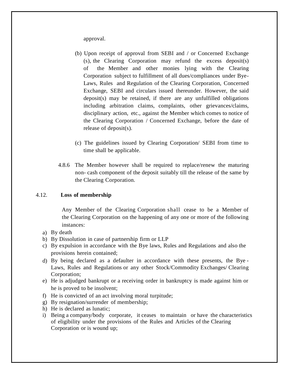approval.

- (b) Upon receipt of approval from SEBI and / or Concerned Exchange (s), the Clearing Corporation may refund the excess deposit(s) of the Member and other monies lying with the Clearing Corporation subject to fulfillment of all dues/compliances under Bye-Laws, Rules and Regulation of the Clearing Corporation, Concerned Exchange, SEBI and circulars issued thereunder. However, the said deposit(s) may be retained, if there are any unfulfilled obligations including arbitration claims, complaints, other grievances/claims, disciplinary action, etc., against the Member which comes to notice of the Clearing Corporation / Concerned Exchange, before the date of release of deposit(s).
- (c) The guidelines issued by Clearing Corporation/ SEBI from time to time shall be applicable.
- 4.8.6 The Member however shall be required to replace/renew the maturing non- cash component of the deposit suitably till the release of the same by the Clearing Corporation.

# 4.12. **Loss of membership**

Any Member of the Clearing Corporation shall cease to be a Member of the Clearing Corporation on the happening of any one or more of the following instances:

- a) By death
- b) By Dissolution in case of partnership firm or LLP
- c) By expulsion in accordance with the Bye laws, Rules and Regulations and also the provisions herein contained;
- d) By being declared as a defaulter in accordance with these presents, the Bye Laws, Rules and Regulations or any other Stock/Commodity Exchanges/ Clearing Corporation;
- e) He is adjudged bankrupt or a receiving order in bankruptcy is made against him or he is proved to be insolvent;
- f) He is convicted of an act involving moral turpitude;
- g) By resignation/surrender of membership;
- h) He is declared as lunatic;
- i) Being a company/body corporate, it ceases to maintain or have the characteristics of eligibility under the provisions of the Rules and Articles of the Clearing Corporation or is wound up;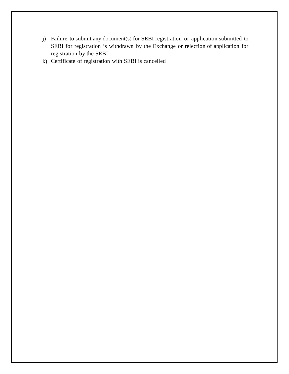- j) Failure to submit any document(s) for SEBI registration or application submitted to SEBI for registration is withdrawn by the Exchange or rejection of application for registration by the SEBI
- k) Certificate of registration with SEBI is cancelled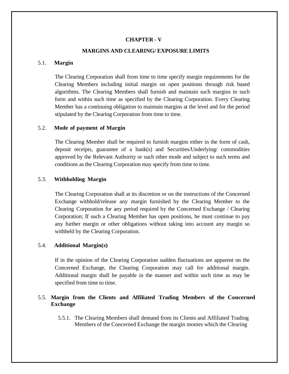# **CHAPTER - V**

### **MARGINS AND CLEARING/ EXPOSURE LIMITS**

### 5.1. **Margin**

The Clearing Corporation shall from time to time specify margin requirements for the Clearing Members including initial margin on open positions through risk based algorithms. The Clearing Members shall furnish and maintain such margins in such form and within such time as specified by the Clearing Corporation. Every Clearing Member has a continuing obligation to maintain margins at the level and for the period stipulated by the Clearing Corporation from time to time.

### 5.2. **Mode of payment of Margin**

The Clearing Member shall be required to furnish margins either in the form of cash, deposit receipts, guarantee of a bank(s) and Securities/Underlying/ commodities approved by the Relevant Authority or such other mode and subject to such terms and conditions as the Clearing Corporation may specify from time to time.

# 5.3. **Withholding Margin**

The Clearing Corporation shall at its discretion or on the instructions of the Concerned Exchange withhold/release any margin furnished by the Clearing Member to the Clearing Corporation for any period required by the Concerned Exchange / Clearing Corporation; If such a Clearing Member has open positions, he must continue to pay any further margin or other obligations without taking into account any margin so withheld by the Clearing Corporation.

### 5.4. **Additional Margin(s)**

If in the opinion of the Clearing Corporation sudden fluctuations are apparent on the Concerned Exchange, the Clearing Corporation may call for additional margin. Additional margin shall be payable in the manner and within such time as may be specified from time to time.

# 5.5. **Margin from the Clients and Affiliated Trading Members of the Concerned Exchange**

5.5.1. The Clearing Members shall demand from its Clients and Affiliated Trading Members of the Concerned Exchange the margin monies which the Clearing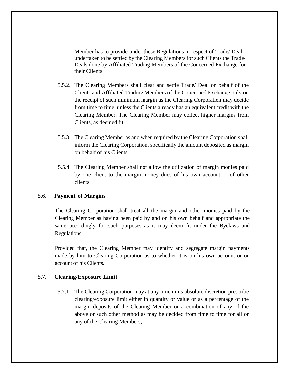Member has to provide under these Regulations in respect of Trade/ Deal undertaken to be settled by the Clearing Members for such Clients the Trade/ Deals done by Affiliated Trading Members of the Concerned Exchange for their Clients.

- 5.5.2. The Clearing Members shall clear and settle Trade/ Deal on behalf of the Clients and Affiliated Trading Members of the Concerned Exchange only on the receipt of such minimum margin as the Clearing Corporation may decide from time to time, unless the Clients already has an equivalent credit with the Clearing Member. The Clearing Member may collect higher margins from Clients, as deemed fit.
- 5.5.3. The Clearing Member as and when required by the Clearing Corporation shall inform the Clearing Corporation, specifically the amount deposited as margin on behalf of his Clients.
- 5.5.4. The Clearing Member shall not allow the utilization of margin monies paid by one client to the margin money dues of his own account or of other clients.

### 5.6. **Payment of Margins**

The Clearing Corporation shall treat all the margin and other monies paid by the Clearing Member as having been paid by and on his own behalf and appropriate the same accordingly for such purposes as it may deem fit under the Byelaws and Regulations;

Provided that, the Clearing Member may identify and segregate margin payments made by him to Clearing Corporation as to whether it is on his own account or on account of his Clients.

# 5.7. **Clearing/Exposure Limit**

5.7.1. The Clearing Corporation may at any time in its absolute discretion prescribe clearing/exposure limit either in quantity or value or as a percentage of the margin deposits of the Clearing Member or a combination of any of the above or such other method as may be decided from time to time for all or any of the Clearing Members;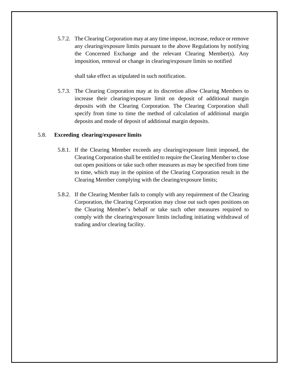5.7.2. The Clearing Corporation may at any time impose, increase, reduce or remove any clearing/exposure limits pursuant to the above Regulations by notifying the Concerned Exchange and the relevant Clearing Member(s). Any imposition, removal or change in clearing/exposure limits so notified

shall take effect as stipulated in such notification.

5.7.3. The Clearing Corporation may at its discretion allow Clearing Members to increase their clearing/exposure limit on deposit of additional margin deposits with the Clearing Corporation. The Clearing Corporation shall specify from time to time the method of calculation of additional margin deposits and mode of deposit of additional margin deposits.

# 5.8. **Exceeding clearing/exposure limits**

- 5.8.1. If the Clearing Member exceeds any clearing/exposure limit imposed, the Clearing Corporation shall be entitled to require the Clearing Member to close out open positions or take such other measures as may be specified from time to time, which may in the opinion of the Clearing Corporation result in the Clearing Member complying with the clearing/exposure limits;
- 5.8.2. If the Clearing Member fails to comply with any requirement of the Clearing Corporation, the Clearing Corporation may close out such open positions on the Clearing Member's behalf or take such other measures required to comply with the clearing/exposure limits including initiating withdrawal of trading and/or clearing facility.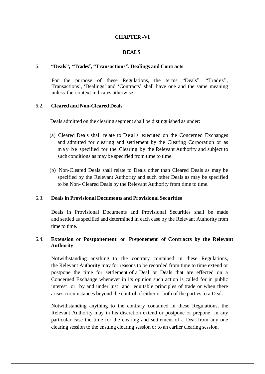# **CHAPTER -VI**

### **DEALS**

### 6.1. **"Deals", "Trades", "Transactions", Dealings and Contracts**

For the purpose of these Regulations, the terms "Deals", "Trades", Transactions', 'Dealings' and 'Contracts' shall have one and the same meaning unless the context indicates otherwise.

# 6.2. **Cleared and Non-Cleared Deals**

Deals admitted on the clearing segment shall be distinguished as under:

- (a) Cleared Deals shall relate to Deals executed on the Concerned Exchanges and admitted for clearing and settlement by the Clearing Corporation or as m a y be specified for the Clearing by the Relevant Authority and subject to such conditions as may be specified from time to time.
- (b) Non-Cleared Deals shall relate to Deals other than Cleared Deals as may be specified by the Relevant Authority and such other Deals as may be specified to be Non- Cleared Deals by the Relevant Authority from time to time.

#### 6.3. **Deals in Provisional Documents and Provisional Securities**

Deals in Provisional Documents and Provisional Securities shall be made and settled as specified and determined in each case by the Relevant Authority from time to time.

# 6.4. **Extension or Postponement or Preponement of Contracts by the Relevant Authority**

Notwithstanding anything to the contrary contained in these Regulations, the Relevant Authority may for reasons to be recorded from time to time extend or postpone the time for settlement of a Deal or Deals that are effected on a Concerned Exchange whenever in its opinion such action is called for in public interest or by and under just and equitable principles of trade or when there arises circumstances beyond the control of either or both of the parties to a Deal.

Notwithstanding anything to the contrary contained in these Regulations, the Relevant Authority may in his discretion extend or postpone or prepone in any particular case the time for the clearing and settlement of a Deal from any one clearing session to the ensuing clearing session or to an earlier clearing session.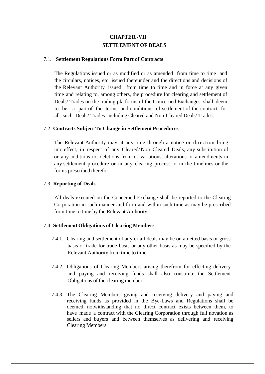# **CHAPTER -VII SETTLEMENT OF DEALS**

### 7.1. **Settlement Regulations Form Part of Contracts**

The Regulations issued or as modified or as amended from time to time and the circulars, notices, etc. issued thereunder and the directions and decisions of the Relevant Authority issued from time to time and in force at any given time and relating to, among others, the procedure for clearing and settlement of Deals/ Trades on the trading platforms of the Concerned Exchanges shall deem to be a part of the terms and conditions of settlement of the contract for all such Deals/ Trades including Cleared and Non-Cleared Deals/ Trades.

### 7.2. **Contracts Subject To Change in Settlement Procedures**

The Relevant Authority may at any time through a notice or direction bring into effect, in respect of any Cleared/ Non Cleared Deals, any substitution of or any additions to, deletions from or variations, alterations or amendments in any settlement procedure or in any clearing process or in the timelines or the forms prescribed therefor.

### 7.3. **Reporting of Deals**

All deals executed on the Concerned Exchange shall be reported to the Clearing Corporation in such manner and form and within such time as may be prescribed from time to time by the Relevant Authority.

### 7.4. **Settlement Obligations of Clearing Members**

- 7.4.1. Clearing and settlement of any or all deals may be on a netted basis or gross basis or trade for trade basis or any other basis as may be specified by the Relevant Authority from time to time.
- 7.4.2. Obligations of Clearing Members arising therefrom for effecting delivery and paying and receiving funds shall also constitute the Settlement Obligations of the clearing member.
- 7.4.3. The Clearing Members giving and receiving delivery and paying and receiving funds as provided in the Bye-Laws and Regulations shall be deemed, notwithstanding that no direct contract exists between them, to have made a contract with the Clearing Corporation through full novation as sellers and buyers and between themselves as delivering and receiving Clearing Members.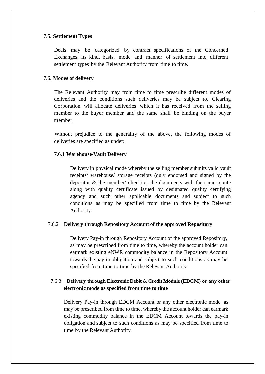# 7.5. **Settlement Types**

Deals may be categorized by contract specifications of the Concerned Exchanges, its kind, basis, mode and manner of settlement into different settlement types by the Relevant Authority from time to time.

# 7.6. **Modes of delivery**

The Relevant Authority may from time to time prescribe different modes of deliveries and the conditions such deliveries may be subject to. Clearing Corporation will allocate deliveries which it has received from the selling member to the buyer member and the same shall be binding on the buyer member.

Without prejudice to the generality of the above, the following modes of deliveries are specified as under:

# 7.6.1 **Warehouse/Vault Delivery**

Delivery in physical mode whereby the selling member submits valid vault receipts/ warehouse/ storage receipts (duly endorsed and signed by the depositor & the member/ client) or the documents with the same repute along with quality certificate issued by designated quality certifying agency and such other applicable documents and subject to such conditions as may be specified from time to time by the Relevant Authority.

# 7.6.2 **Delivery through Repository Account of the approved Repository**

Delivery Pay-in through Repository Account of the approved Repository, as may be prescribed from time to time, whereby the account holder can earmark existing eNWR commodity balance in the Repository Account towards the pay-in obligation and subject to such conditions as may be specified from time to time by the Relevant Authority.

# 7.6.3 **Delivery through Electronic Debit & Credit Module (EDCM) or any other electronic mode as specified from time to time**

Delivery Pay-in through EDCM Account or any other electronic mode, as may be prescribed from time to time, whereby the account holder can earmark existing commodity balance in the EDCM Account towards the pay-in obligation and subject to such conditions as may be specified from time to time by the Relevant Authority.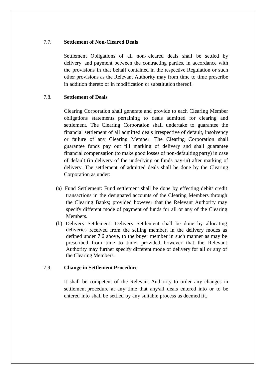# 7.7. **Settlement of Non-Cleared Deals**

Settlement Obligations of all non- cleared deals shall be settled by delivery and payment between the contracting parties, in accordance with the provisions in that behalf contained in the respective Regulation or such other provisions as the Relevant Authority may from time to time prescribe in addition thereto or in modification or substitution thereof.

# 7.8. **Settlement of Deals**

Clearing Corporation shall generate and provide to each Clearing Member obligations statements pertaining to deals admitted for clearing and settlement. The Clearing Corporation shall undertake to guarantee the financial settlement of all admitted deals irrespective of default, insolvency or failure of any Clearing Member. The Clearing Corporation shall guarantee funds pay out till marking of delivery and shall guarantee financial compensation (to make good losses of non-defaulting party) in case of default (in delivery of the underlying or funds pay-in) after marking of delivery. The settlement of admitted deals shall be done by the Clearing Corporation as under:

- (a) Fund Settlement: Fund settlement shall be done by effecting debit/ credit transactions in the designated accounts of the Clearing Members through the Clearing Banks; provided however that the Relevant Authority may specify different mode of payment of funds for all or any of the Clearing Members.
- (b) Delivery Settlement: Delivery Settlement shall be done by allocating deliveries received from the selling member, in the delivery modes as defined under 7.6 above, to the buyer member in such manner as may be prescribed from time to time; provided however that the Relevant Authority may further specify different mode of delivery for all or any of the Clearing Members.

# 7.9. **Change in Settlement Procedure**

It shall be competent of the Relevant Authority to order any changes in settlement procedure at any time that any/all deals entered into or to be entered into shall be settled by any suitable process as deemed fit.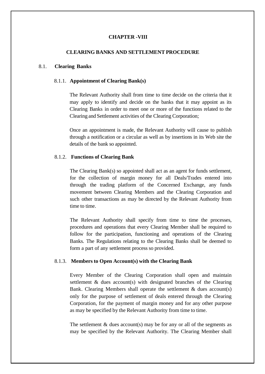# **CHAPTER -VIII**

# **CLEARING BANKS AND SETTLEMENT PROCEDURE**

# 8.1. **Clearing Banks**

#### 8.1.1. **Appointment of Clearing Bank(s)**

The Relevant Authority shall from time to time decide on the criteria that it may apply to identify and decide on the banks that it may appoint as its Clearing Banks in order to meet one or more of the functions related to the Clearing and Settlement activities of the Clearing Corporation;

Once an appointment is made, the Relevant Authority will cause to publish through a notification or a circular as well as by insertions in its Web site the details of the bank so appointed.

### 8.1.2. **Functions of Clearing Bank**

The Clearing Bank(s) so appointed shall act as an agent for funds settlement, for the collection of margin money for all Deals/Trades entered into through the trading platform of the Concerned Exchange, any funds movement between Clearing Members and the Clearing Corporation and such other transactions as may be directed by the Relevant Authority from time to time.

The Relevant Authority shall specify from time to time the processes, procedures and operations that every Clearing Member shall be required to follow for the participation, functioning and operations of the Clearing Banks. The Regulations relating to the Clearing Banks shall be deemed to form a part of any settlement process so provided.

### 8.1.3. **Members to Open Account(s) with the Clearing Bank**

Every Member of the Clearing Corporation shall open and maintain settlement & dues account(s) with designated branches of the Clearing Bank. Clearing Members shall operate the settlement  $\&$  dues account(s) only for the purpose of settlement of deals entered through the Clearing Corporation, for the payment of margin money and for any other purpose as may be specified by the Relevant Authority from time to time.

The settlement  $\&$  dues account(s) may be for any or all of the segments as may be specified by the Relevant Authority. The Clearing Member shall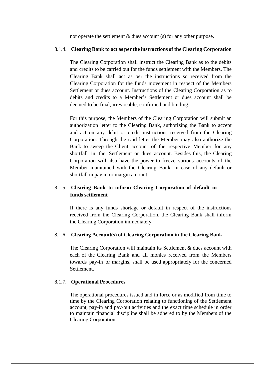not operate the settlement & dues account (s) for any other purpose.

# 8.1.4. **Clearing Bank to act as per the instructions of the Clearing Corporation**

The Clearing Corporation shall instruct the Clearing Bank as to the debits and credits to be carried out for the funds settlement with the Members. The Clearing Bank shall act as per the instructions so received from the Clearing Corporation for the funds movement in respect of the Members Settlement or dues account. Instructions of the Clearing Corporation as to debits and credits to a Member's Settlement or dues account shall be deemed to be final, irrevocable, confirmed and binding.

For this purpose, the Members of the Clearing Corporation will submit an authorization letter to the Clearing Bank, authorizing the Bank to accept and act on any debit or credit instructions received from the Clearing Corporation. Through the said letter the Member may also authorize the Bank to sweep the Client account of the respective Member for any shortfall in the Settlement or dues account. Besides this, the Clearing Corporation will also have the power to freeze various accounts of the Member maintained with the Clearing Bank, in case of any default or shortfall in pay in or margin amount.

# 8.1.5. **Clearing Bank to inform Clearing Corporation of default in funds settlement**

If there is any funds shortage or default in respect of the instructions received from the Clearing Corporation, the Clearing Bank shall inform the Clearing Corporation immediately.

# 8.1.6. **Clearing Account(s) of Clearing Corporation in the Clearing Bank**

The Clearing Corporation will maintain its Settlement & dues account with each of the Clearing Bank and all monies received from the Members towards pay-in or margins, shall be used appropriately for the concerned Settlement.

### 8.1.7. **Operational Procedures**

The operational procedures issued and in force or as modified from time to time by the Clearing Corporation relating to functioning of the Settlement account, pay-in and pay-out activities and the exact time schedule in order to maintain financial discipline shall be adhered to by the Members of the Clearing Corporation.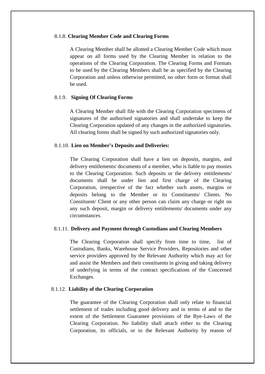### 8.1.8. **Clearing Member Code and Clearing Forms**

A Clearing Member shall be allotted a Clearing Member Code which must appear on all forms used by the Clearing Member in relation to the operations of the Clearing Corporation. The Clearing Forms and Formats to be used by the Clearing Members shall be as specified by the Clearing Corporation and unless otherwise permitted, no other form or format shall be used.

### 8.1.9. **Signing Of Clearing Forms**

A Clearing Member shall file with the Clearing Corporation specimens of signatures of the authorised signatories and shall undertake to keep the Clearing Corporation updated of any changes in the authorized signatories. All clearing forms shall be signed by such authorized signatories only.

# 8.1.10. **Lien on Member's Deposits and Deliveries:**

The Clearing Corporation shall have a lien on deposits, margins, and delivery entitlements/ documents of a member, who is liable to pay monies to the Clearing Corporation. Such deposits or the delivery entitlements/ documents shall be under lien and first charge of the Clearing Corporation, irrespective of the fact whether such assets, margins or deposits belong to the Member or its Constituents/ Clients. No Constituent/ Client or any other person can claim any charge or right on any such deposit, margin or delivery entitlements/ documents under any circumstances.

### 8.1.11. **Delivery and Payment through Custodians and Clearing Members**

The Clearing Corporation shall specify from time to time, list of Custodians, Banks, Warehouse Service Providers, Repositories and other service providers approved by the Relevant Authority which may act for and assist the Members and their constituents in giving and taking delivery of underlying in terms of the contract specifications of the Concerned Exchanges.

### 8.1.12. **Liability of the Clearing Corporation**

The guarantee of the Clearing Corporation shall only relate to financial settlement of trades including good delivery and in terms of and to the extent of the Settlement Guarantee provisions of the Bye-Laws of the Clearing Corporation. No liability shall attach either to the Clearing Corporation, its officials, or to the Relevant Authority by reason of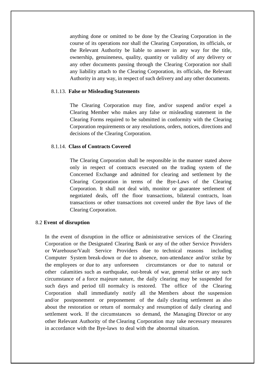anything done or omitted to be done by the Clearing Corporation in the course of its operations nor shall the Clearing Corporation, its officials, or the Relevant Authority be liable to answer in any way for the title, ownership, genuineness, quality, quantity or validity of any delivery or any other documents passing through the Clearing Corporation nor shall any liability attach to the Clearing Corporation, its officials, the Relevant Authority in any way, in respect of such delivery and any other documents.

### 8.1.13. **False or Misleading Statements**

The Clearing Corporation may fine, and/or suspend and/or expel a Clearing Member who makes any false or misleading statement in the Clearing Forms required to be submitted in conformity with the Clearing Corporation requirements or any resolutions, orders, notices, directions and decisions of the Clearing Corporation.

# 8.1.14. **Class of Contracts Covered**

The Clearing Corporation shall be responsible in the manner stated above only in respect of contracts executed on the trading system of the Concerned Exchange and admitted for clearing and settlement by the Clearing Corporation in terms of the Bye-Laws of the Clearing Corporation. It shall not deal with, monitor or guarantee settlement of negotiated deals, off the floor transactions, bilateral contracts, loan transactions or other transactions not covered under the Bye laws of the Clearing Corporation.

### 8.2 **Event of disruption**

In the event of disruption in the office or administrative services of the Clearing Corporation or the Designated Clearing Bank or any of the other Service Providers or Warehouse/Vault Service Providers due to technical reasons including Computer System break-down or due to absence, non-attendance and/or strike by the employees or due to any unforeseen circumstances or due to natural or other calamities such as earthquake, out-break of war, general strike or any such circumstance of a force majeure nature, the daily clearing may be suspended for such days and period till normalcy is restored. The office of the Clearing Corporation shall immediately notify all the Members about the suspension and/or postponement or preponement of the daily clearing settlement as also about the restoration or return of normalcy and resumption of daily clearing and settlement work. If the circumstances so demand, the Managing Director or any other Relevant Authority of the Clearing Corporation may take necessary measures in accordance with the Bye-laws to deal with the abnormal situation.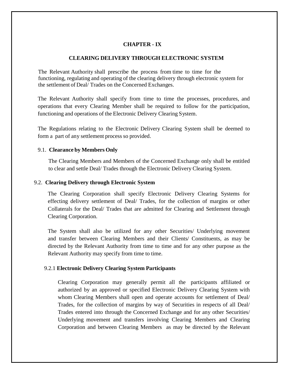# **CHAPTER - IX**

### **CLEARING DELIVERY THROUGH ELECTRONIC SYSTEM**

 The Relevant Authority shall prescribe the process from time to time for the functioning, regulating and operating of the clearing delivery through electronic system for the settlement of Deal/ Trades on the Concerned Exchanges.

The Relevant Authority shall specify from time to time the processes, procedures, and operations that every Clearing Member shall be required to follow for the participation, functioning and operations of the Electronic Delivery Clearing System.

The Regulations relating to the Electronic Delivery Clearing System shall be deemed to form a part of any settlement process so provided.

### 9.1. **Clearance by Members Only**

The Clearing Members and Members of the Concerned Exchange only shall be entitled to clear and settle Deal/ Trades through the Electronic Delivery Clearing System.

### 9.2. **Clearing Delivery through Electronic System**

The Clearing Corporation shall specify Electronic Delivery Clearing Systems for effecting delivery settlement of Deal/ Trades, for the collection of margins or other Collaterals for the Deal/ Trades that are admitted for Clearing and Settlement through Clearing Corporation.

The System shall also be utilized for any other Securities/ Underlying movement and transfer between Clearing Members and their Clients/ Constituents, as may be directed by the Relevant Authority from time to time and for any other purpose as the Relevant Authority may specify from time to time.

### 9.2.1 **Electronic Delivery Clearing System Participants**

Clearing Corporation may generally permit all the participants affiliated or authorized by an approved or specified Electronic Delivery Clearing System with whom Clearing Members shall open and operate accounts for settlement of Deal/ Trades, for the collection of margins by way of Securities in respects of all Deal/ Trades entered into through the Concerned Exchange and for any other Securities/ Underlying movement and transfers involving Clearing Members and Clearing Corporation and between Clearing Members as may be directed by the Relevant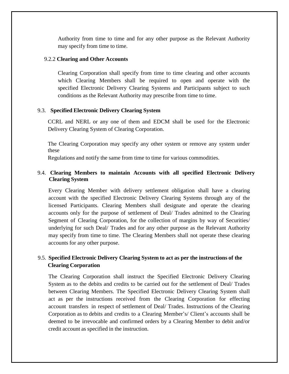Authority from time to time and for any other purpose as the Relevant Authority may specify from time to time.

### 9.2.2 **Clearing and Other Accounts**

Clearing Corporation shall specify from time to time clearing and other accounts which Clearing Members shall be required to open and operate with the specified Electronic Delivery Clearing Systems and Participants subject to such conditions as the Relevant Authority may prescribe from time to time.

# 9.3. **Specified Electronic Delivery Clearing System**

CCRL and NERL or any one of them and EDCM shall be used for the Electronic Delivery Clearing System of Clearing Corporation.

The Clearing Corporation may specify any other system or remove any system under these

Regulations and notify the same from time to time for various commodities.

# 9.4. **Clearing Members to maintain Accounts with all specified Electronic Delivery Clearing System**

Every Clearing Member with delivery settlement obligation shall have a clearing account with the specified Electronic Delivery Clearing Systems through any of the licensed Participants. Clearing Members shall designate and operate the clearing accounts only for the purpose of settlement of Deal/ Trades admitted to the Clearing Segment of Clearing Corporation, for the collection of margins by way of Securities/ underlying for such Deal/ Trades and for any other purpose as the Relevant Authority may specify from time to time. The Clearing Members shall not operate these clearing accounts for any other purpose.

# 9.5. **Specified Electronic Delivery Clearing System to act as per the instructions of the Clearing Corporation**

The Clearing Corporation shall instruct the Specified Electronic Delivery Clearing System as to the debits and credits to be carried out for the settlement of Deal/ Trades between Clearing Members. The Specified Electronic Delivery Clearing System shall act as per the instructions received from the Clearing Corporation for effecting account transfers in respect of settlement of Deal/ Trades. Instructions of the Clearing Corporation as to debits and credits to a Clearing Member's/ Client's accounts shall be deemed to be irrevocable and confirmed orders by a Clearing Member to debit and/or credit account as specified in the instruction.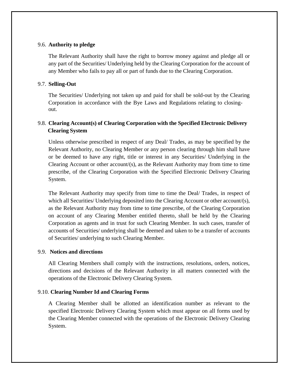# 9.6. **Authority to pledge**

The Relevant Authority shall have the right to borrow money against and pledge all or any part of the Securities/ Underlying held by the Clearing Corporation for the account of any Member who fails to pay all or part of funds due to the Clearing Corporation.

# 9.7. **Selling-Out**

The Securities/ Underlying not taken up and paid for shall be sold-out by the Clearing Corporation in accordance with the Bye Laws and Regulations relating to closingout.

# 9.8. **Clearing Account(s) of Clearing Corporation with the Specified Electronic Delivery Clearing System**

Unless otherwise prescribed in respect of any Deal/ Trades, as may be specified by the Relevant Authority, no Clearing Member or any person clearing through him shall have or be deemed to have any right, title or interest in any Securities/ Underlying in the Clearing Account or other account/(s), as the Relevant Authority may from time to time prescribe, of the Clearing Corporation with the Specified Electronic Delivery Clearing System.

The Relevant Authority may specify from time to time the Deal/ Trades, in respect of which all Securities/ Underlying deposited into the Clearing Account or other account/(s), as the Relevant Authority may from time to time prescribe, of the Clearing Corporation on account of any Clearing Member entitled thereto, shall be held by the Clearing Corporation as agents and in trust for such Clearing Member. In such cases, transfer of accounts of Securities/ underlying shall be deemed and taken to be a transfer of accounts of Securities/ underlying to such Clearing Member.

# 9.9. **Notices and directions**

All Clearing Members shall comply with the instructions, resolutions, orders, notices, directions and decisions of the Relevant Authority in all matters connected with the operations of the Electronic Delivery Clearing System.

# 9.10. **Clearing Number Id and Clearing Forms**

A Clearing Member shall be allotted an identification number as relevant to the specified Electronic Delivery Clearing System which must appear on all forms used by the Clearing Member connected with the operations of the Electronic Delivery Clearing System.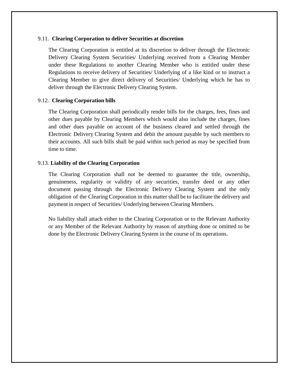### 9.11. **Clearing Corporation to deliver Securities at discretion**

The Clearing Corporation is entitled at its discretion to deliver through the Electronic Delivery Clearing System Securities/ Underlying received from a Clearing Member under these Regulations to another Clearing Member who is entitled under these Regulations to receive delivery of Securities/ Underlying of a like kind or to instruct a Clearing Member to give direct delivery of Securities/ Underlying which he has to deliver through the Electronic Delivery Clearing System.

### 9.12. **Clearing Corporation bills**

The Clearing Corporation shall periodically render bills for the charges, fees, fines and other dues payable by Clearing Members which would also include the charges, fines and other dues payable on account of the business cleared and settled through the Electronic Delivery Clearing System and debit the amount payable by such members to their accounts. All such bills shall be paid within such period as may be specified from time to time.

### 9.13. **Liability of the Clearing Corporation**

The Clearing Corporation shall not be deemed to guarantee the title, ownership, genuineness, regularity or validity of any securities, transfer deed or any other document passing through the Electronic Delivery Clearing System and the only obligation of the Clearing Corporation in this matter shall be to facilitate the delivery and payment in respect of Securities/ Underlying between Clearing Members.

No liability shall attach either to the Clearing Corporation or to the Relevant Authority or any Member of the Relevant Authority by reason of anything done or omitted to be done by the Electronic Delivery Clearing System in the course of its operations.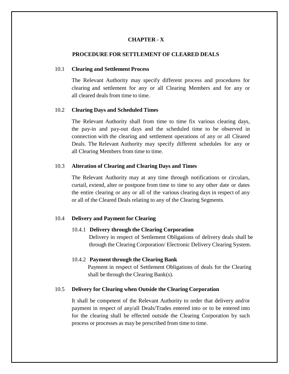# **CHAPTER - X**

# **PROCEDURE FOR SETTLEMENT OF CLEARED DEALS**

#### 10.1 **Clearing and Settlement Process**

The Relevant Authority may specify different process and procedures for clearing and settlement for any or all Clearing Members and for any or all cleared deals from time to time.

### 10.2 **Clearing Days and Scheduled Times**

The Relevant Authority shall from time to time fix various clearing days, the pay-in and pay-out days and the scheduled time to be observed in connection with the clearing and settlement operations of any or all Cleared Deals. The Relevant Authority may specify different schedules for any or all Clearing Members from time to time.

### 10.3 **Alteration of Clearing and Clearing Days and Times**

The Relevant Authority may at any time through notifications or circulars, curtail, extend, alter or postpone from time to time to any other date or dates the entire clearing or any or all of the various clearing days in respect of any or all of the Cleared Deals relating to any of the Clearing Segments.

#### 10.4 **Delivery and Payment for Clearing**

### 10.4.1 **Delivery through the Clearing Corporation**

Delivery in respect of Settlement Obligations of delivery deals shall be through the Clearing Corporation/ Electronic Delivery Clearing System.

### 10.4.2 **Payment through the Clearing Bank**

Payment in respect of Settlement Obligations of deals for the Clearing shall be through the Clearing Bank(s).

#### 10.5 **Delivery for Clearing when Outside the Clearing Corporation**

It shall be competent of the Relevant Authority to order that delivery and/or payment in respect of any/all Deals/Trades entered into or to be entered into for the clearing shall be effected outside the Clearing Corporation by such process or processes as may be prescribed from time to time.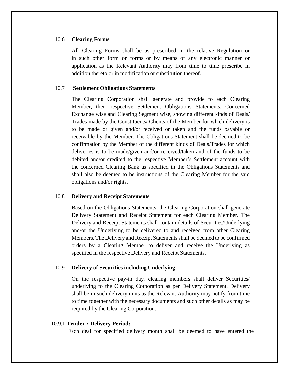### 10.6 **Clearing Forms**

All Clearing Forms shall be as prescribed in the relative Regulation or in such other form or forms or by means of any electronic manner or application as the Relevant Authority may from time to time prescribe in addition thereto or in modification or substitution thereof.

### 10.7 **Settlement Obligations Statements**

The Clearing Corporation shall generate and provide to each Clearing Member, their respective Settlement Obligations Statements, Concerned Exchange wise and Clearing Segment wise, showing different kinds of Deals/ Trades made by the Constituents/ Clients of the Member for which delivery is to be made or given and/or received or taken and the funds payable or receivable by the Member. The Obligations Statement shall be deemed to be confirmation by the Member of the different kinds of Deals/Trades for which deliveries is to be made/given and/or received/taken and of the funds to be debited and/or credited to the respective Member's Settlement account with the concerned Clearing Bank as specified in the Obligations Statements and shall also be deemed to be instructions of the Clearing Member for the said obligations and/or rights.

### 10.8 **Delivery and Receipt Statements**

Based on the Obligations Statements, the Clearing Corporation shall generate Delivery Statement and Receipt Statement for each Clearing Member. The Delivery and Receipt Statements shall contain details of Securities/Underlying and/or the Underlying to be delivered to and received from other Clearing Members. The Delivery and Receipt Statements shall be deemed to be confirmed orders by a Clearing Member to deliver and receive the Underlying as specified in the respective Delivery and Receipt Statements.

#### 10.9 **Delivery of Securities including Underlying**

On the respective pay-in day, clearing members shall deliver Securities/ underlying to the Clearing Corporation as per Delivery Statement. Delivery shall be in such delivery units as the Relevant Authority may notify from time to time together with the necessary documents and such other details as may be required by the Clearing Corporation.

#### 10.9.1 **Tender / Delivery Period:**

Each deal for specified delivery month shall be deemed to have entered the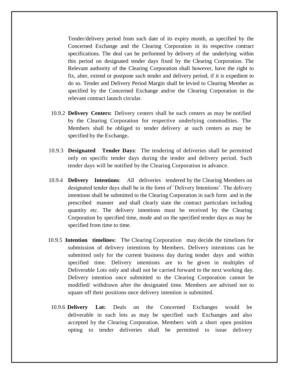Tender/delivery period from such date of its expiry month, as specified by the Concerned Exchange and the Clearing Corporation in its respective contract specifications. The deal can be performed by delivery of the underlying within this period on designated tender days fixed by the Clearing Corporation. The Relevant authority of the Clearing Corporation shall however, have the right to fix, alter, extend or postpone such tender and delivery period, if it is expedient to do so. Tender and Delivery Period Margin shall be levied to Clearing Member as specified by the Concerned Exchange and/or the Clearing Corporation in the relevant contract launch circular.

- 10.9.2 **Delivery Centers:** Delivery centers shall be such centers as may be notified by the Clearing Corporation for respective underlying commodities. The Members shall be obliged to tender delivery at such centers as may be specified by the Exchange**.**
- 10.9.3 **Designated Tender Days**: The tendering of deliveries shall be permitted only on specific tender days during the tender and delivery period. Such tender days will be notified by the Clearing Corporation in advance.
- 10.9.4 **Delivery Intentions**: All deliveries tendered by the Clearing Members on designated tender days shall be in the form of `Delivery Intentions'. The delivery intentions shall be submitted to the Clearing Corporation in such form and in the prescribed manner and shall clearly state the contract particulars including quantity etc. The delivery intentions must be received by the Clearing Corporation by specified time, mode and on the specified tender days as may be specified from time to time.
- 10.9.5 **Intention timelines:** The Clearing Corporation may decide the timelines for submission of delivery intentions by Members. Delivery intentions can be submitted only for the current business day during tender days and within specified time. Delivery intentions are to be given in multiples of Deliverable Lots only and shall not be carried forward to the next working day. Delivery intention once submitted to the Clearing Corporation cannot be modified/ withdrawn after the designated time. Members are advised not to square off their positions once delivery intention is submitted.
- 10.9.6 **Delivery Lot:** Deals on the Concerned Exchanges would be deliverable in such lots as may be specified such Exchanges and also accepted by the Clearing Corporation. Members with a short open position opting to tender deliveries shall be permitted to issue delivery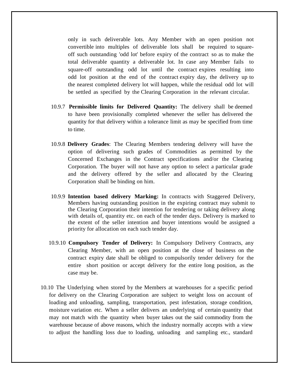only in such deliverable lots. Any Member with an open position not convertible into multiples of deliverable lots shall be required to squareoff such outstanding 'odd lot' before expiry of the contract so as to make the total deliverable quantity a deliverable lot. In case any Member fails to square-off outstanding odd lot until the contract expires resulting into odd lot position at the end of the contract expiry day, the delivery up to the nearest completed delivery lot will happen, while the residual odd lot will be settled as specified by the Clearing Corporation in the relevant circular.

- 10.9.7 **Permissible limits for Delivered Quantity:** The delivery shall be deemed to have been provisionally completed whenever the seller has delivered the quantity for that delivery within a tolerance limit as may be specified from time to time.
- 10.9.8 **Delivery Grades**: The Clearing Members tendering delivery will have the option of delivering such grades of Commodities as permitted by the Concerned Exchanges in the Contract specifications and/or the Clearing Corporation. The buyer will not have any option to select a particular grade and the delivery offered by the seller and allocated by the Clearing Corporation shall be binding on him.
- 10.9.9 **Intention based delivery Marking:** In contracts with Staggered Delivery, Members having outstanding position in the expiring contract may submit to the Clearing Corporation their intention for tendering or taking delivery along with details of, quantity etc. on each of the tender days. Delivery is marked to the extent of the seller intention and buyer intentions would be assigned a priority for allocation on each such tender day.
- 10.9.10 **Compulsory Tender of Delivery:** In Compulsory Delivery Contracts, any Clearing Member, with an open position at the close of business on the contract expiry date shall be obliged to compulsorily tender delivery for the entire short position or accept delivery for the entire long position, as the case may be.
- 10.10 The Underlying when stored by the Members at warehouses for a specific period for delivery on the Clearing Corporation are subject to weight loss on account of loading and unloading, sampling, transportation, pest infestation, storage condition, moisture variation etc. When a seller delivers an underlying of certain quantity that may not match with the quantity when buyer takes out the said commodity from the warehouse because of above reasons, which the industry normally accepts with a view to adjust the handling loss due to loading, unloading and sampling etc., standard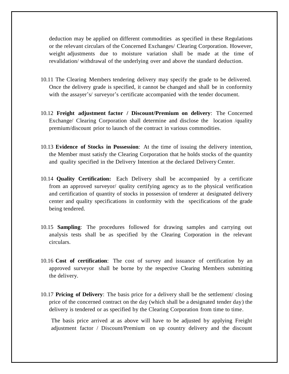deduction may be applied on different commodities as specified in these Regulations or the relevant circulars of the Concerned Exchanges/ Clearing Corporation. However, weight adjustments due to moisture variation shall be made at the time of revalidation/ withdrawal of the underlying over and above the standard deduction.

- 10.11 The Clearing Members tendering delivery may specify the grade to be delivered. Once the delivery grade is specified, it cannot be changed and shall be in conformity with the assayer's/ surveyor's certificate accompanied with the tender document.
- 10.12 **Freight adjustment factor / Discount/Premium on delivery**: The Concerned Exchange/ Clearing Corporation shall determine and disclose the location /quality premium/discount prior to launch of the contract in various commodities.
- 10.13 **Evidence of Stocks in Possession**: At the time of issuing the delivery intention, the Member must satisfy the Clearing Corporation that he holds stocks of the quantity and quality specified in the Delivery Intention at the declared Delivery Center.
- 10.14 **Quality Certification:** Each Delivery shall be accompanied by a certificate from an approved surveyor/ quality certifying agency as to the physical verification and certification of quantity of stocks in possession of tenderer at designated delivery center and quality specifications in conformity with the specifications of the grade being tendered.
- 10.15 **Sampling**: The procedures followed for drawing samples and carrying out analysis tests shall be as specified by the Clearing Corporation in the relevant circulars.
- 10.16 **Cost of certification**: The cost of survey and issuance of certification by an approved surveyor shall be borne by the respective Clearing Members submitting the delivery.
- 10.17 **Pricing of Delivery**: The basis price for a delivery shall be the settlement/ closing price of the concerned contract on the day (which shall be a designated tender day) the delivery is tendered or as specified by the Clearing Corporation from time to time.

The basis price arrived at as above will have to be adjusted by applying Freight adjustment factor / Discount/Premium on up country delivery and the discount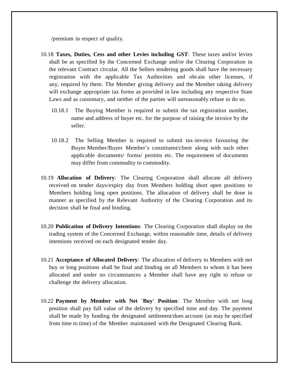/premium in respect of quality.

- 10.18 **Taxes, Duties, Cess and other Levies including GST**: These taxes and/or levies shall be as specified by the Concerned Exchange and/or the Clearing Corporation in the relevant Contract circular. All the Sellers tendering goods shall have the necessary registration with the applicable Tax Authorities and obt ain other licenses, if any, required by them. The Member giving delivery and the Member taking delivery will exchange appropriate tax forms as provided in law including any respective State Laws and as customary, and neither of the parties will unreasonably refuse to do so.
	- 10.18.1 The Buying Member is required to submit the tax registration number, name and address of buyer etc. for the purpose of raising the invoice by the seller.
	- 10.18.2 The Selling Member is required to submit tax-invoice favouring the Buyer Member/Buyer Member's constituent/client along with such other applicable documents/ forms/ permits etc. The requirement of documents may differ from commodity to commodity.
- 10.19 **Allocation of Delivery**: The Clearing Corporation shall allocate all delivery received on tender days/expiry day from Members holding short open positions to Members holding long open positions. The allocation of delivery shall be done in manner as specified by the Relevant Authority of the Clearing Corporation and its decision shall be final and binding.
- 10.20 **Publication of Delivery Intentions**: The Clearing Corporation shall display on the trading system of the Concerned Exchange, within reasonable time, details of delivery intentions received on each designated tender day.
- 10.21 **Acceptance of Allocated Delivery**: The allocation of delivery to Members with net buy or long positions shall be final and binding on all Members to whom it has been allocated and under no circumstances a Member shall have any right to refuse or challenge the delivery allocation.
- 10.22 **Payment by Member with Net `Buy' Position**: The Member with net long position shall pay full value of the delivery by specified time and day. The payment shall be made by funding the designated settlement/dues account (as may be specified from time to time) of the Member maintained with the Designated Clearing Bank.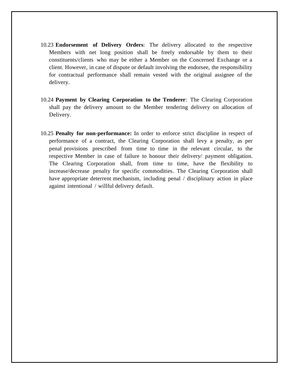- 10.23 **Endorsement of Delivery Orders**: The delivery allocated to the respective Members with net long position shall be freely endorsable by them to their constituents/clients who may be either a Member on the Concerned Exchange or a client. However, in case of dispute or default involving the endorsee, the responsibility for contractual performance shall remain vested with the original assignee of the delivery.
- 10.24 **Payment by Clearing Corporation to the Tenderer**: The Clearing Corporation shall pay the delivery amount to the Member tendering delivery on allocation of Delivery.
- 10.25 **Penalty for non-performance:** In order to enforce strict discipline in respect of performance of a contract, the Clearing Corporation shall levy a penalty, as per penal provisions prescribed from time to time in the relevant circular, to the respective Member in case of failure to honour their delivery/ payment obligation. The Clearing Corporation shall, from time to time, have the flexibility to increase/decrease penalty for specific commodities. The Clearing Corporation shall have appropriate deterrent mechanism, including penal / disciplinary action in place against intentional / willful delivery default.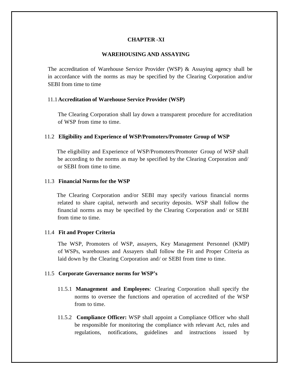# **CHAPTER -XI**

### **WAREHOUSING AND ASSAYING**

The accreditation of Warehouse Service Provider (WSP) & Assaying agency shall be in accordance with the norms as may be specified by the Clearing Corporation and/or SEBI from time to time

#### 11.1**Accreditation of Warehouse Service Provider (WSP)**

The Clearing Corporation shall lay down a transparent procedure for accreditation of WSP from time to time.

### 11.2 **Eligibility and Experience of WSP/Promoters/Promoter Group of WSP**

The eligibility and Experience of WSP/Promoters/Promoter Group of WSP shall be according to the norms as may be specified by the Clearing Corporation and/ or SEBI from time to time.

#### 11.3 **Financial Norms for the WSP**

The Clearing Corporation and/or SEBI may specify various financial norms related to share capital, networth and security deposits. WSP shall follow the financial norms as may be specified by the Clearing Corporation and/ or SEBI from time to time.

#### 11.4 **Fit and Proper Criteria**

The WSP, Promoters of WSP, assayers, Key Management Personnel (KMP) of WSPs, warehouses and Assayers shall follow the Fit and Proper Criteria as laid down by the Clearing Corporation and/ or SEBI from time to time.

#### 11.5 **Corporate Governance norms for WSP's**

- 11.5.1 **Management and Employees**: Clearing Corporation shall specify the norms to oversee the functions and operation of accredited of the WSP from to time.
- 11.5.2 **Compliance Officer:** WSP shall appoint a Compliance Officer who shall be responsible for monitoring the compliance with relevant Act, rules and regulations, notifications, guidelines and instructions issued by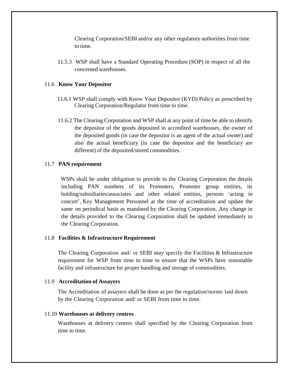Clearing Corporation/SEBI and/or any other regulatory authorities from time to time.

11.5.3 WSP shall have a Standard Operating Procedure (SOP) in respect of all the concerned warehouses.

### 11.6 **Know Your Depositor**

- 11.6.1 WSP shall comply with Know Your Depositor (KYD) Policy as prescribed by Clearing Corporation/Regulator from time to time.
- 11.6.2 The Clearing Corporation and WSP shall at any point of time be able to identify the depositor of the goods deposited in accredited warehouses, the owner of the deposited goods (in case the depositor is an agent of the actual owner) and also the actual beneficiary (in case the depositor and the beneficiary are different) of the deposited/stored commodities.

### 11.7 **PAN requirement**

WSPs shall be under obligation to provide to the Clearing Corporation the details including PAN numbers of its Promoters, Promoter group entities, its holding/subsidiaries/associates and other related entities, persons 'acting in concert', Key Management Personnel at the time of accreditation and update the same on periodical basis as mandated by the Clearing Corporation. Any change in the details provided to the Clearing Corporation shall be updated immediately to the Clearing Corporation.

#### 11.8 **Facilities & Infrastructure Requirement**

The Clearing Corporation and/ or SEBI may specify the Facilities & Infrastructure requirement for WSP from time to time to ensure that the WSPs have reasonable facility and infrastructure for proper handling and storage of commodities.

#### 11.9 **Accreditation of Assayers**

The Accreditation of assayers shall be done as per the regulation/norms laid down by the Clearing Corporation and/ or SEBI from time to time.

### 11.10 **Warehouses at delivery centres**

Warehouses at delivery centres shall specified by the Clearing Corporation from time to time.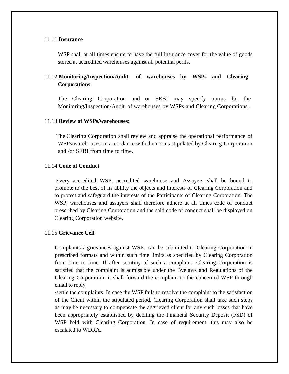### 11.11 **Insurance**

WSP shall at all times ensure to have the full insurance cover for the value of goods stored at accredited warehouses against all potential perils.

# 11.12 **Monitoring/Inspection/Audit of warehouses by WSPs and Clearing Corporations**

The Clearing Corporation and or SEBI may specify norms for the Monitoring/Inspection/Audit of warehouses by WSPs and Clearing Corporations .

### 11.13 **Review of WSPs/warehouses:**

The Clearing Corporation shall review and appraise the operational performance of WSPs/warehouses in accordance with the norms stipulated by Clearing Corporation and /or SEBI from time to time.

### 11.14 **Code of Conduct**

Every accredited WSP, accredited warehouse and Assayers shall be bound to promote to the best of its ability the objects and interests of Clearing Corporation and to protect and safeguard the interests of the Participants of Clearing Corporation. The WSP, warehouses and assayers shall therefore adhere at all times code of conduct prescribed by Clearing Corporation and the said code of conduct shall be displayed on Clearing Corporation website.

### 11.15 **Grievance Cell**

Complaints / grievances against WSPs can be submitted to Clearing Corporation in prescribed formats and within such time limits as specified by Clearing Corporation from time to time. If after scrutiny of such a complaint, Clearing Corporation is satisfied that the complaint is admissible under the Byelaws and Regulations of the Clearing Corporation, it shall forward the complaint to the concerned WSP through email to reply

/settle the complaints. In case the WSP fails to resolve the complaint to the satisfaction of the Client within the stipulated period, Clearing Corporation shall take such steps as may be necessary to compensate the aggrieved client for any such losses that have been appropriately established by debiting the Financial Security Deposit (FSD) of WSP held with Clearing Corporation. In case of requirement, this may also be escalated to WDRA.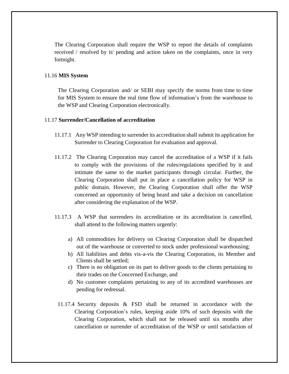The Clearing Corporation shall require the WSP to report the details of complaints received / resolved by it/ pending and action taken on the complaints, once in very fortnight.

### 11.16 **MIS System**

The Clearing Corporation and/ or SEBI may specify the norms from time to time for MIS System to ensure the real time flow of information's from the warehouse to the WSP and Clearing Corporation electronically.

### 11.17 **Surrender/Cancellation of accreditation**

- 11.17.1 Any WSP intending to surrender its accreditation shall submit its application for Surrender to Clearing Corporation for evaluation and approval.
- 11.17.2 The Clearing Corporation may cancel the accreditation of a WSP if it fails to comply with the provisions of the rules/regulations specified by it and intimate the same to the market participants through circular. Further, the Clearing Corporation shall put in place a cancellation policy for WSP in public domain. However, the Clearing Corporation shall offer the WSP concerned an opportunity of being heard and take a decision on cancellation after considering the explanation of the WSP.
- 11.17.3 A WSP that surrenders its accreditation or its accreditation is cancelled, shall attend to the following matters urgently:
	- a) All commodities for delivery on Clearing Corporation shall be dispatched out of the warehouse or converted to stock under professional warehousing;
	- b) All liabilities and debts vis-a-vis the Clearing Corporation, its Member and Clients shall be settled;
	- c) There is no obligation on its part to deliver goods to the clients pertaining to their trades on the Concerned Exchange, and
	- d) No customer complaints pertaining to any of its accredited warehouses are pending for redressal.
- 11.17.4 Security deposits & FSD shall be returned in accordance with the Clearing Corporation's rules, keeping aside 10% of such deposits with the Clearing Corporation, which shall not be released until six months after cancellation or surrender of accreditation of the WSP or until satisfaction of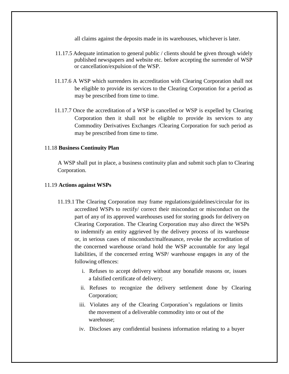all claims against the deposits made in its warehouses, whichever is later.

- 11.17.5 Adequate intimation to general public / clients should be given through widely published newspapers and website etc. before accepting the surrender of WSP or cancellation/expulsion of the WSP.
- 11.17.6 A WSP which surrenders its accreditation with Clearing Corporation shall not be eligible to provide its services to the Clearing Corporation for a period as may be prescribed from time to time.
- 11.17.7 Once the accreditation of a WSP is cancelled or WSP is expelled by Clearing Corporation then it shall not be eligible to provide its services to any Commodity Derivatives Exchanges /Clearing Corporation for such period as may be prescribed from time to time.

### 11.18 **Business Continuity Plan**

A WSP shall put in place, a business continuity plan and submit such plan to Clearing Corporation.

### 11.19 **Actions against WSPs**

- 11.19.1 The Clearing Corporation may frame regulations/guidelines/circular for its accredited WSPs to rectify/ correct their misconduct or misconduct on the part of any of its approved warehouses used for storing goods for delivery on Clearing Corporation. The Clearing Corporation may also direct the WSPs to indemnify an entity aggrieved by the delivery process of its warehouse or, in serious cases of misconduct/malfeasance, revoke the accreditation of the concerned warehouse or/and hold the WSP accountable for any legal liabilities, if the concerned erring WSP/ warehouse engages in any of the following offences:
	- i. Refuses to accept delivery without any bonafide reasons or, issues a falsified certificate of delivery;
	- ii. Refuses to recognize the delivery settlement done by Clearing Corporation;
	- iii. Violates any of the Clearing Corporation's regulations or limits the movement of a deliverable commodity into or out of the warehouse;
	- iv. Discloses any confidential business information relating to a buyer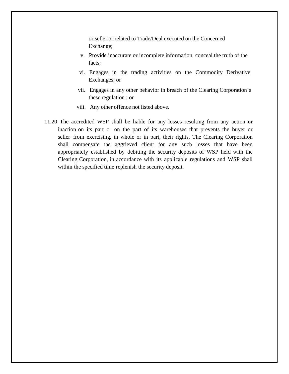or seller or related to Trade/Deal executed on the Concerned Exchange;

- v. Provide inaccurate or incomplete information, conceal the truth of the facts;
- vi. Engages in the trading activities on the Commodity Derivative Exchanges; or
- vii. Engages in any other behavior in breach of the Clearing Corporation's these regulation ; or
- viii. Any other offence not listed above.
- 11.20 The accredited WSP shall be liable for any losses resulting from any action or inaction on its part or on the part of its warehouses that prevents the buyer or seller from exercising, in whole or in part, their rights. The Clearing Corporation shall compensate the aggrieved client for any such losses that have been appropriately established by debiting the security deposits of WSP held with the Clearing Corporation, in accordance with its applicable regulations and WSP shall within the specified time replenish the security deposit.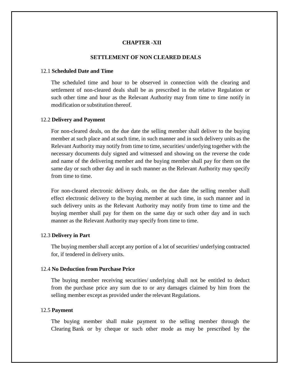### **CHAPTER -XII**

### **SETTLEMENT OF NON CLEARED DEALS**

#### 12.1 **Scheduled Date and Time**

The scheduled time and hour to be observed in connection with the clearing and settlement of non-cleared deals shall be as prescribed in the relative Regulation or such other time and hour as the Relevant Authority may from time to time notify in modification or substitution thereof.

#### 12.2 **Delivery and Payment**

For non-cleared deals, on the due date the selling member shall deliver to the buying member at such place and at such time, in such manner and in such delivery units as the Relevant Authority may notify from time to time, securities/ underlying together with the necessary documents duly signed and witnessed and showing on the reverse the code and name of the delivering member and the buying member shall pay for them on the same day or such other day and in such manner as the Relevant Authority may specify from time to time.

For non-cleared electronic delivery deals, on the due date the selling member shall effect electronic delivery to the buying member at such time, in such manner and in such delivery units as the Relevant Authority may notify from time to time and the buying member shall pay for them on the same day or such other day and in such manner as the Relevant Authority may specify from time to time.

#### 12.3 **Delivery in Part**

The buying member shall accept any portion of a lot of securities/ underlying contracted for, if tendered in delivery units.

#### 12.4 **No Deduction from Purchase Price**

The buying member receiving securities/ underlying shall not be entitled to deduct from the purchase price any sum due to or any damages claimed by him from the selling member except as provided under the relevant Regulations.

#### 12.5 **Payment**

The buying member shall make payment to the selling member through the Clearing Bank or by cheque or such other mode as may be prescribed by the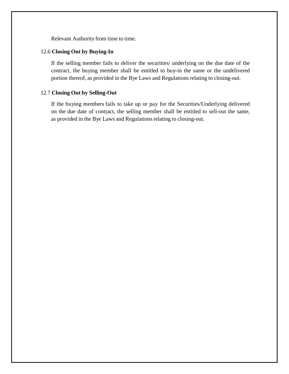Relevant Authority from time to time.

### 12.6 **Closing Out by Buying-In**

If the selling member fails to deliver the securities/ underlying on the due date of the contract, the buying member shall be entitled to buy-in the same or the undelivered portion thereof, as provided in the Bye Laws and Regulations relating to closing-out.

# 12.7 **Closing Out by Selling-Out**

If the buying members fails to take up or pay for the Securities/Underlying delivered on the due date of contract, the selling member shall be entitled to sell-out the same, as provided in the Bye Laws and Regulations relating to closing-out.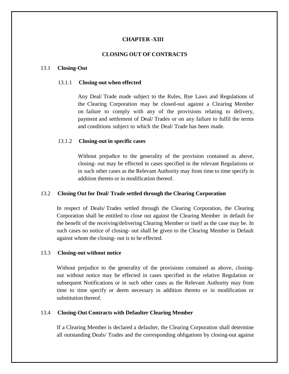### **CHAPTER -XIII**

### **CLOSING OUT OF CONTRACTS**

#### 13.1 **Closing-Out**

#### 13.1.1 **Closing-out when effected**

Any Deal/ Trade made subject to the Rules, Bye Laws and Regulations of the Clearing Corporation may be closed-out against a Clearing Member on failure to comply with any of the provisions relating to delivery, payment and settlement of Deal/ Trades or on any failure to fulfil the terms and conditions subject to which the Deal/ Trade has been made.

### 13.1.2 **Closing-out in specific cases**

Without prejudice to the generality of the provision contained as above, closing- out may be effected in cases specified in the relevant Regulations or in such other cases as the Relevant Authority may from time to time specify in addition thereto or in modification thereof.

### 13.2 **Closing Out for Deal/ Trade settled through the Clearing Corporation**

In respect of Deals/ Trades settled through the Clearing Corporation, the Clearing Corporation shall be entitled to close out against the Clearing Member in default for the benefit of the receiving/delivering Clearing Member or itself as the case may be. In such cases no notice of closing- out shall be given to the Clearing Member in Default against whom the closing- out is to be effected.

#### 13.3 **Closing-out without notice**

Without prejudice to the generality of the provisions contained as above, closingout without notice may be effected in cases specified in the relative Regulation or subsequent Notifications or in such other cases as the Relevant Authority may from time to time specify or deem necessary in addition thereto or in modification or substitution thereof.

#### 13.4 **Closing-Out Contracts with Defaulter Clearing Member**

If a Clearing Member is declared a defaulter, the Clearing Corporation shall determine all outstanding Deals/ Trades and the corresponding obligations by closing-out against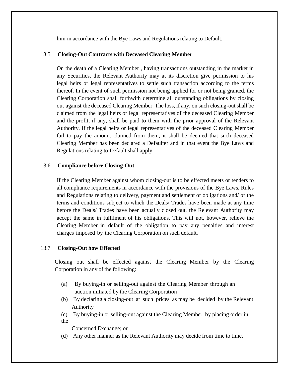him in accordance with the Bye Laws and Regulations relating to Default.

# 13.5 **Closing-Out Contracts with Deceased Clearing Member**

On the death of a Clearing Member , having transactions outstanding in the market in any Securities, the Relevant Authority may at its discretion give permission to his legal heirs or legal representatives to settle such transaction according to the terms thereof. In the event of such permission not being applied for or not being granted, the Clearing Corporation shall forthwith determine all outstanding obligations by closing out against the deceased Clearing Member. The loss, if any, on such closing-out shall be claimed from the legal heirs or legal representatives of the deceased Clearing Member and the profit, if any, shall be paid to them with the prior approval of the Relevant Authority. If the legal heirs or legal representatives of the deceased Clearing Member fail to pay the amount claimed from them, it shall be deemed that such deceased Clearing Member has been declared a Defaulter and in that event the Bye Laws and Regulations relating to Default shall apply.

### 13.6 **Compliance before Closing-Out**

If the Clearing Member against whom closing-out is to be effected meets or tenders to all compliance requirements in accordance with the provisions of the Bye Laws, Rules and Regulations relating to delivery, payment and settlement of obligations and/ or the terms and conditions subject to which the Deals/ Trades have been made at any time before the Deals/ Trades have been actually closed out, the Relevant Authority may accept the same in fulfilment of his obligations. This will not, however, relieve the Clearing Member in default of the obligation to pay any penalties and interest charges imposed by the Clearing Corporation on such default.

# 13.7 **Closing-Out how Effected**

Closing out shall be effected against the Clearing Member by the Clearing Corporation in any of the following:

- (a) By buying-in or selling-out against the Clearing Member through an auction initiated by the Clearing Corporation
- (b) By declaring a closing-out at such prices as may be decided by the Relevant Authority
- (c) By buying-in or selling-out against the Clearing Member by placing order in the

Concerned Exchange; or

(d) Any other manner as the Relevant Authority may decide from time to time.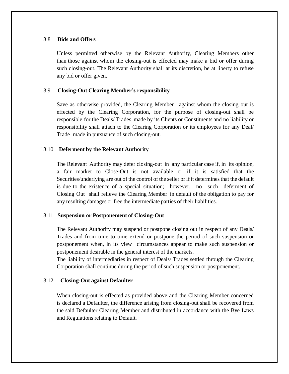### 13.8 **Bids and Offers**

Unless permitted otherwise by the Relevant Authority, Clearing Members other than those against whom the closing-out is effected may make a bid or offer during such closing-out. The Relevant Authority shall at its discretion, be at liberty to refuse any bid or offer given.

### 13.9 **Closing-Out Clearing Member's responsibility**

Save as otherwise provided, the Clearing Member against whom the closing out is effected by the Clearing Corporation, for the purpose of closing-out shall be responsible for the Deals/ Trades made by its Clients or Constituents and no liability or responsibility shall attach to the Clearing Corporation or its employees for any Deal/ Trade made in pursuance of such closing-out.

### 13.10 **Deferment by the Relevant Authority**

The Relevant Authority may defer closing-out in any particular case if, in its opinion, a fair market to Close-Out is not available or if it is satisfied that the Securities/underlying are out of the control of the seller or if it determines that the default is due to the existence of a special situation; however, no such deferment of Closing Out shall relieve the Clearing Member in default of the obligation to pay for any resulting damages or free the intermediate parties of their liabilities.

#### 13.11 **Suspension or Postponement of Closing-Out**

The Relevant Authority may suspend or postpone closing out in respect of any Deals/ Trades and from time to time extend or postpone the period of such suspension or postponement when, in its view circumstances appear to make such suspension or postponement desirable in the general interest of the markets.

The liability of intermediaries in respect of Deals/ Trades settled through the Clearing Corporation shall continue during the period of such suspension or postponement.

### 13.12 **Closing-Out against Defaulter**

When closing-out is effected as provided above and the Clearing Member concerned is declared a Defaulter, the difference arising from closing-out shall be recovered from the said Defaulter Clearing Member and distributed in accordance with the Bye Laws and Regulations relating to Default.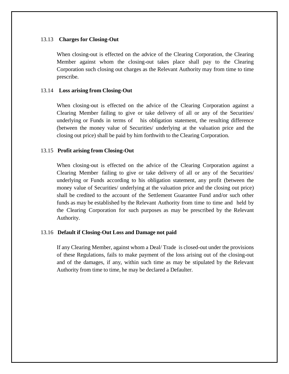### 13.13 **Charges for Closing-Out**

When closing-out is effected on the advice of the Clearing Corporation, the Clearing Member against whom the closing-out takes place shall pay to the Clearing Corporation such closing out charges as the Relevant Authority may from time to time prescribe.

### 13.14 **Loss arising from Closing-Out**

When closing-out is effected on the advice of the Clearing Corporation against a Clearing Member failing to give or take delivery of all or any of the Securities/ underlying or Funds in terms of his obligation statement, the resulting difference (between the money value of Securities/ underlying at the valuation price and the closing out price) shall be paid by him forthwith to the Clearing Corporation.

### 13.15 **Profit arising from Closing-Out**

When closing-out is effected on the advice of the Clearing Corporation against a Clearing Member failing to give or take delivery of all or any of the Securities/ underlying or Funds according to his obligation statement, any profit (between the money value of Securities/ underlying at the valuation price and the closing out price) shall be credited to the account of the Settlement Guarantee Fund and/or such other funds as may be established by the Relevant Authority from time to time and held by the Clearing Corporation for such purposes as may be prescribed by the Relevant Authority.

### 13.16 **Default if Closing-Out Loss and Damage not paid**

If any Clearing Member, against whom a Deal/ Trade is closed-out under the provisions of these Regulations, fails to make payment of the loss arising out of the closing-out and of the damages, if any, within such time as may be stipulated by the Relevant Authority from time to time, he may be declared a Defaulter.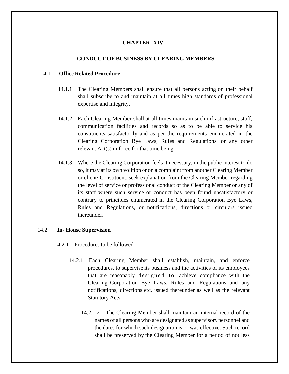# **CHAPTER -XIV**

### **CONDUCT OF BUSINESS BY CLEARING MEMBERS**

### 14.1 **Office Related Procedure**

- 14.1.1 The Clearing Members shall ensure that all persons acting on their behalf shall subscribe to and maintain at all times high standards of professional expertise and integrity.
- 14.1.2 Each Clearing Member shall at all times maintain such infrastructure, staff, communication facilities and records so as to be able to service his constituents satisfactorily and as per the requirements enumerated in the Clearing Corporation Bye Laws, Rules and Regulations, or any other relevant Act(s) in force for that time being.
- 14.1.3 Where the Clearing Corporation feels it necessary, in the public interest to do so, it may at its own volition or on a complaint from another Clearing Member or client/ Constituent, seek explanation from the Clearing Member regarding the level of service or professional conduct of the Clearing Member or any of its staff where such service or conduct has been found unsatisfactory or contrary to principles enumerated in the Clearing Corporation Bye Laws, Rules and Regulations, or notifications, directions or circulars issued thereunder.

#### 14.2 **In- House Supervision**

- 14.2.1 Procedures to be followed
	- 14.2.1.1 Each Clearing Member shall establish, maintain, and enforce procedures, to supervise its business and the activities of its employees that are reasonably designed to achieve compliance with the Clearing Corporation Bye Laws, Rules and Regulations and any notifications, directions etc. issued thereunder as well as the relevant Statutory Acts.
		- 14.2.1.2 The Clearing Member shall maintain an internal record of the names of all persons who are designated as supervisory personnel and the dates for which such designation is or was effective. Such record shall be preserved by the Clearing Member for a period of not less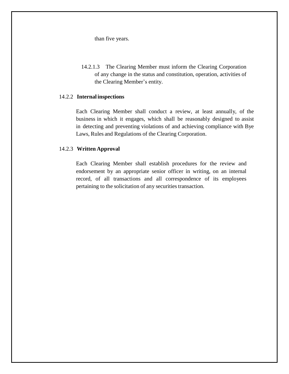than five years.

14.2.1.3 The Clearing Member must inform the Clearing Corporation of any change in the status and constitution, operation, activities of the Clearing Member's entity.

# 14.2.2 **Internal inspections**

Each Clearing Member shall conduct a review, at least annually, of the business in which it engages, which shall be reasonably designed to assist in detecting and preventing violations of and achieving compliance with Bye Laws, Rules and Regulations of the Clearing Corporation.

### 14.2.3 **Written Approval**

Each Clearing Member shall establish procedures for the review and endorsement by an appropriate senior officer in writing, on an internal record, of all transactions and all correspondence of its employees pertaining to the solicitation of any securities transaction.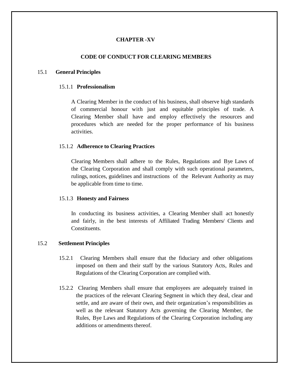# **CHAPTER -XV**

### **CODE OF CONDUCT FOR CLEARING MEMBERS**

#### 15.1 **General Principles**

### 15.1.1 **Professionalism**

A Clearing Member in the conduct of his business, shall observe high standards of commercial honour with just and equitable principles of trade. A Clearing Member shall have and employ effectively the resources and procedures which are needed for the proper performance of his business activities.

### 15.1.2 **Adherence to Clearing Practices**

Clearing Members shall adhere to the Rules, Regulations and Bye Laws of the Clearing Corporation and shall comply with such operational parameters, rulings, notices, guidelines and instructions of the Relevant Authority as may be applicable from time to time.

#### 15.1.3 **Honesty and Fairness**

In conducting its business activities, a Clearing Member shall act honestly and fairly, in the best interests of Affiliated Trading Members/ Clients and Constituents.

#### 15.2 **Settlement Principles**

- 15.2.1 Clearing Members shall ensure that the fiduciary and other obligations imposed on them and their staff by the various Statutory Acts, Rules and Regulations of the Clearing Corporation are complied with.
- 15.2.2 Clearing Members shall ensure that employees are adequately trained in the practices of the relevant Clearing Segment in which they deal, clear and settle, and are aware of their own, and their organization's responsibilities as well as the relevant Statutory Acts governing the Clearing Member, the Rules, Bye Laws and Regulations of the Clearing Corporation including any additions or amendments thereof.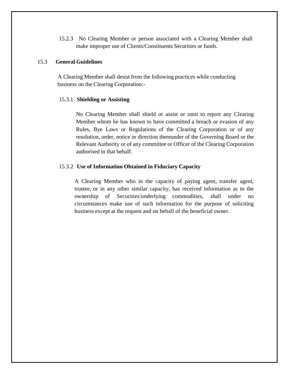15.2.3 No Clearing Member or person associated with a Clearing Member shall make improper use of Clients/Constituents Securities or funds.

### 15.3 **General Guidelines**

A Clearing Member shall desist from the following practices while conducting business on the Clearing Corporation:-

#### 15.3.1 **Shielding or Assisting**

No Clearing Member shall shield or assist or omit to report any Clearing Member whom he has known to have committed a breach or evasion of any Rules, Bye Laws or Regulations of the Clearing Corporation or of any resolution, order, notice or direction thereunder of the Governing Board or the Relevant Authority or of any committee or Officer of the Clearing Corporation authorised in that behalf.

### 15.3.2 **Use of Information Obtained in Fiduciary Capacity**

A Clearing Member who in the capacity of paying agent, transfer agent, trustee, or in any other similar capacity, has received information as to the ownership of Securities/underlying commodities, shall under no circumstances make use of such information for the purpose of soliciting business except at the request and on behalf of the beneficial owner.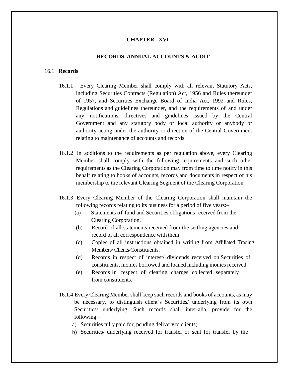### **CHAPTER - XVI**

#### **RECORDS, ANNUAL ACCOUNTS & AUDIT**

#### 16.1 **Records**

- 16.1.1 Every Clearing Member shall comply with all relevant Statutory Acts, including Securities Contracts (Regulation) Act, 1956 and Rules thereunder of 1957, and Securities Exchange Board of India Act, 1992 and Rules, Regulations and guidelines thereunder, and the requirements of and under any notifications, directives and guidelines issued by the Central Government and any statutory body or local authority or anybody or authority acting under the authority or direction of the Central Government relating to maintenance of accounts and records.
- 16.1.2 In additions to the requirements as per regulation above, every Clearing Member shall comply with the following requirements and such other requirements as the Clearing Corporation may from time to time notify in this behalf relating to books of accounts, records and documents in respect of his membership to the relevant Clearing Segment of the Clearing Corporation.
- 16.1.3 Every Clearing Member of the Clearing Corporation shall maintain the following records relating to its business for a period of five years:–
	- (a) Statements of fund and Securities obligations received from the Clearing Corporation.
	- (b) Record of all statements received from the settling agencies and record of all correspondence with them.
	- (c) Copies of all instructions obtained in writing from Affiliated Trading Members/Clients/Constituents.
	- (d) Records in respect of interest/ dividends received on Securities of constituents, monies borrowed and loaned including monies received.
	- (e) Records in respect of clearing charges collected separately from constituents.
- 16.1.4 Every Clearing Member shall keep such records and books of accounts, as may be necessary, to distinguish client's Securities/ underlying from its own Securities/ underlying. Such records shall inter-alia, provide for the following:–
	- a) Securities fully paid for, pending delivery to clients;
	- b) Securities/ underlying received for transfer or sent for transfer by the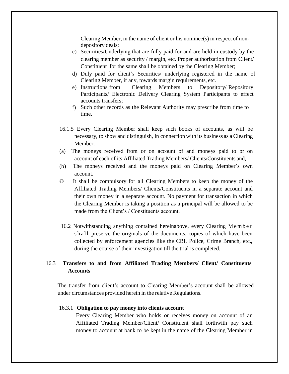Clearing Member, in the name of client or his nominee(s) in respect of nondepository deals;

- c) Securities/Underlying that are fully paid for and are held in custody by the clearing member as security / margin, etc. Proper authorization from Client/ Constituent for the same shall be obtained by the Clearing Member;
- d) Duly paid for client's Securities/ underlying registered in the name of Clearing Member, if any, towards margin requirements, etc.
- e) Instructions from Clearing Members to Depository/ Repository Participants/ Electronic Delivery Clearing System Participants to effect accounts transfers;
- f) Such other records as the Relevant Authority may prescribe from time to time.
- 16.1.5 Every Clearing Member shall keep such books of accounts, as will be necessary, to show and distinguish, in connection with its business as a Clearing Member:–
- (a) The moneys received from or on account of and moneys paid to or on account of each of its Affiliated Trading Members/ Clients/Constituents and,
- (b) The moneys received and the moneys paid on Clearing Member's own account.
- © It shall be compulsory for all Clearing Members to keep the money of the Affiliated Trading Members/ Clients/Constituents in a separate account and their own money in a separate account. No payment for transaction in which the Clearing Member is taking a position as a principal will be allowed to be made from the Client's / Constituents account.
- 16.2 Notwithstanding anything contained hereinabove, every Clearing M e m b e r shall preserve the originals of the documents, copies of which have been collected by enforcement agencies like the CBI, Police, Crime Branch, etc., during the course of their investigation till the trial is completed.

# 16.3 **Transfers to and from Affiliated Trading Members/ Client/ Constituents Accounts**

The transfer from client's account to Clearing Member's account shall be allowed under circumstances provided herein in the relative Regulations.

#### 16.3.1 **Obligation to pay money into clients account**

Every Clearing Member who holds or receives money on account of an Affiliated Trading Member/Client/ Constituent shall forthwith pay such money to account at bank to be kept in the name of the Clearing Member in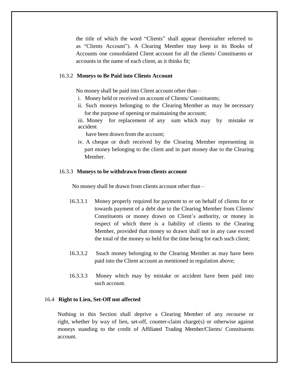the title of which the word "Clients" shall appear (hereinafter referred to as "Clients Account"). A Clearing Member may keep in its Books of Accounts one consolidated Client account for all the clients/ Constituents or accounts in the name of each client, as it thinks fit;

### 16.3.2 **Moneys to Be Paid into Clients Account**

No money shall be paid into Client account other than –

- i. Money held or received on account of Clients/ Constituents;
- ii. Such moneys belonging to the Clearing Member as may be necessary for the purpose of opening or maintaining the account;

iii. Money for replacement of any sum which may by mistake or accident

have been drawn from the account;

iv. A cheque or draft received by the Clearing Member representing in part money belonging to the client and in part money due to the Clearing Member.

### 16.3.3 **Moneys to be withdrawn from clients account**

No money shall be drawn from clients account other than –

- 16.3.3.1 Money properly required for payment to or on behalf of clients for or towards payment of a debt due to the Clearing Member from Clients/ Constituents or money drawn on Client's authority, or money in respect of which there is a liability of clients to the Clearing Member, provided that money so drawn shall not in any case exceed the total of the money so held for the time being for each such client;
- 16.3.3.2 Ssuch money belonging to the Clearing Member as may have been paid into the Client account as mentioned in regulation above;
- 16.3.3.3 Money which may by mistake or accident have been paid into such account.

### 16.4 **Right to Lien, Set-Off not affected**

Nothing in this Section shall deprive a Clearing Member of any recourse or right, whether by way of lien, set-off, counter-claim charge(s) or otherwise against moneys standing to the credit of Affiliated Trading Member/Clients/ Constituents account.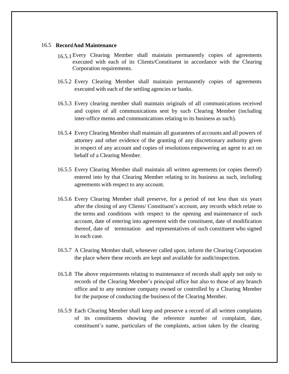#### 16.5 **RecordAnd Maintenance**

- 16.5.1 Every Clearing Member shall maintain permanently copies of agreements executed with each of its Clients/Constituent in accordance with the Clearing Corporation requirements.
- 16.5.2 Every Clearing Member shall maintain permanently copies of agreements executed with each of the settling agencies or banks.
- 16.5.3 Every clearing member shall maintain originals of all communications received and copies of all communications sent by such Clearing Member (including inter-office memo and communications relating to its business as such).
- 16.5.4 Every Clearing Membershall maintain all guarantees of accounts and all powers of attorney and other evidence of the granting of any discretionary authority given in respect of any account and copies of resolutions empowering an agent to act on behalf of a Clearing Member.
- 16.5.5 Every Clearing Member shall maintain all written agreements (or copies thereof) entered into by that Clearing Member relating to its business as such, including agreements with respect to any account.
- 16.5.6 Every Clearing Member shall preserve, for a period of not less than six years after the closing of any Clients/ Constituent's account, any records which relate to the terms and conditions with respect to the opening and maintenance of such account, date of entering into agreement with the constituent, date of modification thereof, date of termination and representatives of such constituent who signed in each case.
- 16.5.7 A Clearing Member shall, whenever called upon, inform the Clearing Corporation the place where these records are kept and available for audit/inspection.
- 16.5.8 The above requirements relating to maintenance of records shall apply not only to records of the Clearing Member's principal office but also to those of any branch office and to any nominee company owned or controlled by a Clearing Member for the purpose of conducting the business of the Clearing Member.
- 16.5.9 Each Clearing Member shall keep and preserve a record of all written complaints of its constituents showing the reference number of complaint, date, constituent's name, particulars of the complaints, action taken by the clearing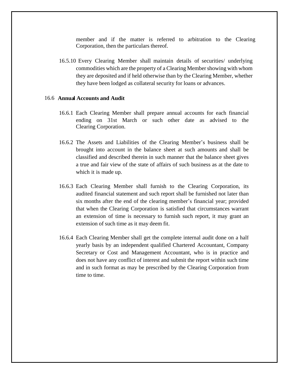member and if the matter is referred to arbitration to the Clearing Corporation, then the particulars thereof.

16.5.10 Every Clearing Member shall maintain details of securities/ underlying commodities which are the property of a Clearing Membershowing with whom they are deposited and if held otherwise than by the Clearing Member, whether they have been lodged as collateral security for loans or advances.

### 16.6 **Annua l Accounts and Audit**

- 16.6.1 Each Clearing Member shall prepare annual accounts for each financial ending on 31st March or such other date as advised to the Clearing Corporation.
- 16.6.2 The Assets and Liabilities of the Clearing Member's business shall be brought into account in the balance sheet at such amounts and shall be classified and described therein in such manner that the balance sheet gives a true and fair view of the state of affairs of such business as at the date to which it is made up.
- 16.6.3 Each Clearing Member shall furnish to the Clearing Corporation, its audited financial statement and such report shall be furnished not later than six months after the end of the clearing member's financial year; provided that when the Clearing Corporation is satisfied that circumstances warrant an extension of time is necessary to furnish such report, it may grant an extension of such time as it may deem fit.
- 16.6.4 Each Clearing Member shall get the complete internal audit done on a half yearly basis by an independent qualified Chartered Accountant, Company Secretary or Cost and Management Accountant, who is in practice and does not have any conflict of interest and submit the report within such time and in such format as may be prescribed by the Clearing Corporation from time to time.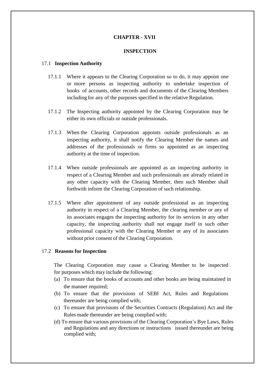### **CHAPTER - XVII**

### **INSPECTION**

### 17.1 **Inspection Authority**

- 17.1.1 Where it appears to the Clearing Corporation so to do, it may appoint one or more persons as inspecting authority to undertake inspection of books of accounts, other records and documents of the Clearing Members including for any of the purposes specified in the relative Regulation.
- 17.1.2 The Inspecting authority appointed by the Clearing Corporation may be either its own officials or outside professionals.
- 17.1.3 When the Clearing Corporation appoints outside professionals as an inspecting authority, it shall notify the Clearing Member the names and addresses of the professionals or firms so appointed as an inspecting authority at the time of inspection.
- 17.1.4 When outside professionals are appointed as an inspecting authority in respect of a Clearing Member and such professionals are already related in any other capacity with the Clearing Member, then such Member shall forthwith inform the Clearing Corporation of such relationship.
- 17.1.5 Where after appointment of any outside professional as an inspecting authority in respect of a Clearing Member, the clearing member or any of its associates engages the inspecting authority for its services in any other capacity, the inspecting authority shall not engage itself in such other professional capacity with the Clearing Member or any of its associates without prior consent of the Clearing Corporation.

### 17.2 **Reasons for Inspection**

The Clearing Corporation may cause a Clearing Member to be inspected for purposes which may include the following:

- (a) To ensure that the books of accounts and other books are being maintained in the manner required;
- (b) To ensure that the provisions of SEBI Act, Rules and Regulations thereunder are being complied with;
- (c) To ensure that provisions of the Securities Contracts (Regulation) Act and the Rules made thereunder are being complied with;
- (d) To ensure that various provisions of the Clearing Corporation's Bye Laws, Rules and Regulations and any directions or instructions issued thereunder are being complied with;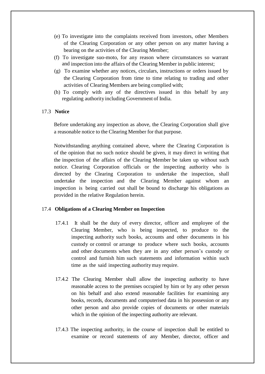- (e) To investigate into the complaints received from investors, other Members of the Clearing Corporation or any other person on any matter having a bearing on the activities of the Clearing Member;
- (f) To investigate suo-moto, for any reason where circumstances so warrant and inspection into the affairs of the Clearing Member in public interest;
- (g) To examine whether any notices, circulars, instructions or orders issued by the Clearing Corporation from time to time relating to trading and other activities of Clearing Members are being complied with;
- (h) To comply with any of the directives issued in this behalf by any regulating authority including Government of India.

### 17.3 **Notice**

Before undertaking any inspection as above, the Clearing Corporation shall give a reasonable notice to the Clearing Member for that purpose.

Notwithstanding anything contained above, where the Clearing Corporation is of the opinion that no such notice should be given, it may direct in writing that the inspection of the affairs of the Clearing Member be taken up without such notice. Clearing Corporation officials or the inspecting authority who is directed by the Clearing Corporation to undertake the inspection, shall undertake the inspection and the Clearing Member against whom an inspection is being carried out shall be bound to discharge his obligations as provided in the relative Regulation herein.

### 17.4 **Obligations of a Clearing Member on Inspection**

- 17.4.1 It shall be the duty of every director, officer and employee of the Clearing Member, who is being inspected, to produce to the inspecting authority such books, accounts and other documents in his custody or control or arrange to produce where such books, accounts and other documents when they are in any other person's custody or control and furnish him such statements and information within such time as the said inspecting authoritymay require.
- 17.4.2 The Clearing Member shall allow the inspecting authority to have reasonable access to the premises occupied by him or by any other person on his behalf and also extend reasonable facilities for examining any books, records, documents and computerised data in his possession or any other person and also provide copies of documents or other materials which in the opinion of the inspecting authority are relevant.
- 17.4.3 The inspecting authority, in the course of inspection shall be entitled to examine or record statements of any Member, director, officer and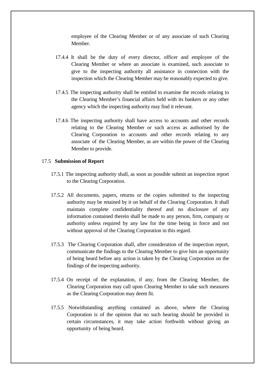employee of the Clearing Member or of any associate of such Clearing Member.

- 17.4.4 It shall be the duty of every director, officer and employee of the Clearing Member or where an associate is examined, such associate to give to the inspecting authority all assistance in connection with the inspection which the Clearing Member may be reasonably expected to give.
- 17.4.5 The inspecting authority shall be entitled to examine the records relating to the Clearing Member's financial affairs held with its bankers or any other agency which the inspecting authority may find it relevant.
- 17.4.6 The inspecting authority shall have access to accounts and other records relating to the Clearing Member or such access as authorised by the Clearing Corporation to accounts and other records relating to any associate of the Clearing Member, as are within the power of the Clearing Member to provide.

### 17.5 **Submission of Report**

- 17.5.1 The inspecting authority shall, as soon as possible submit an inspection report to the Clearing Corporation.
- 17.5.2 All documents, papers, returns or the copies submitted to the inspecting authority may be retained by it on behalf of the Clearing Corporation. It shall maintain complete confidentiality thereof and no disclosure of any information contained therein shall be made to any person, firm, company or authority unless required by any law for the time being in force and not without approval of the Clearing Corporation in this regard.
- 17.5.3 The Clearing Corporation shall, after consideration of the inspection report, communicate the findings to the Clearing Member to give him an opportunity of being heard before any action is taken by the Clearing Corporation on the findings of the inspecting authority.
- 17.5.4 On receipt of the explanation, if any, from the Clearing Member, the Clearing Corporation may call upon Clearing Member to take such measures as the Clearing Corporation may deem fit.
- 17.5.5 Notwithstanding anything contained as above, where the Clearing Corporation is of the opinion that no such hearing should be provided in certain circumstances, it may take action forthwith without giving an opportunity of being heard.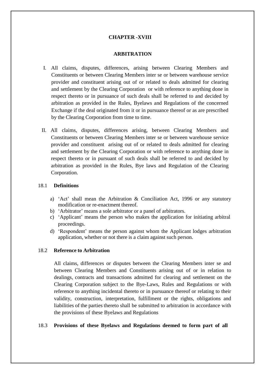## **CHAPTER -XVIII**

### **ARBITRATION**

- I. All claims, disputes, differences, arising between Clearing Members and Constituents or between Clearing Members inter se or between warehouse service provider and constituent arising out of or related to deals admitted for clearing and settlement by the Clearing Corporation or with reference to anything done in respect thereto or in pursuance of such deals shall be referred to and decided by arbitration as provided in the Rules, Byelaws and Regulations of the concerned Exchange if the deal originated from it or in pursuance thereof or as are prescribed by the Clearing Corporation from time to time.
- II. All claims, disputes, differences arising, between Clearing Members and Constituents or between Clearing Members inter se or between warehouse service provider and constituent arising out of or related to deals admitted for clearing and settlement by the Clearing Corporation or with reference to anything done in respect thereto or in pursuant of such deals shall be referred to and decided by arbitration as provided in the Rules, Bye laws and Regulation of the Clearing Corporation.

### 18.1 **Definitions**

- a) 'Act' shall mean the Arbitration & Conciliation Act, 1996 or any statutory modification or re-enactment thereof.
- b) 'Arbitrator' means a sole arbitrator or a panel of arbitrators.
- c) 'Applicant' means the person who makes the application for initiating arbitral proceedings.
- d) 'Respondent' means the person against whom the Applicant lodges arbitration application, whether or not there is a claim against such person.

### 18.2 **Reference to Arbitration**

All claims, differences or disputes between the Clearing Members inter se and between Clearing Members and Constituents arising out of or in relation to dealings, contracts and transactions admitted for clearing and settlement on the Clearing Corporation subject to the Bye-Laws, Rules and Regulations or with reference to anything incidental thereto or in pursuance thereof or relating to their validity, construction, interpretation, fulfillment or the rights, obligations and liabilities of the parties thereto shall be submitted to arbitration in accordance with the provisions of these Byelaws and Regulations

### 18.3 **Provisions of these Byelaws and Regulations deemed to form part of all**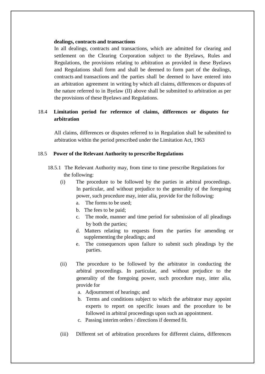### **dealings, contracts and transactions**

In all dealings, contracts and transactions, which are admitted for clearing and settlement on the Clearing Corporation subject to the Byelaws, Rules and Regulations, the provisions relating to arbitration as provided in these Byelaws and Regulations shall form and shall be deemed to form part of the dealings, contracts and transactions and the parties shall be deemed to have entered into an arbitration agreement in writing by which all claims, differences or disputes of the nature referred to in Byelaw (II) above shall be submitted to arbitration as per the provisions of these Byelaws and Regulations.

# 18.4 **Limitation period for reference of claims, differences or disputes for arbitration**

All claims, differences or disputes referred to in Regulation shall be submitted to arbitration within the period prescribed under the Limitation Act, 1963

### 18.5 **Power of the Relevant Authority to prescribe Regulations**

- 18.5.1 The Relevant Authority may, from time to time prescribe Regulations for the following:
	- (i) The procedure to be followed by the parties in arbitral proceedings. In particular, and without prejudice to the generality of the foregoing power, such procedure may, inter alia, provide for the following:
		- a. The forms to be used;
		- b. The fees to be paid;
		- c. The mode, manner and time period for submission of all pleadings by both the parties;
		- d. Matters relating to requests from the parties for amending or supplementing the pleadings; and
		- e. The consequences upon failure to submit such pleadings by the parties.
	- (ii) The procedure to be followed by the arbitrator in conducting the arbitral proceedings. In particular, and without prejudice to the generality of the foregoing power, such procedure may, inter alia, provide for
		- a. Adjournment of hearings; and
		- b. Terms and conditions subject to which the arbitrator may appoint experts to report on specific issues and the procedure to be followed in arbitral proceedings upon such an appointment.
		- c. Passing interim orders / directions if deemed fit.
	- (iii) Different set of arbitration procedures for different claims, differences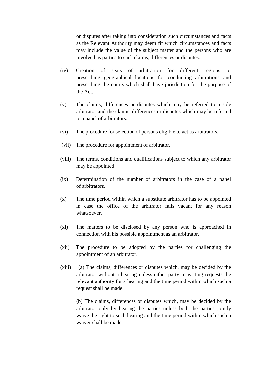or disputes after taking into consideration such circumstances and facts as the Relevant Authority may deem fit which circumstances and facts may include the value of the subject matter and the persons who are involved as parties to such claims, differences or disputes.

- (iv) Creation of seats of arbitration for different regions or prescribing geographical locations for conducting arbitrations and prescribing the courts which shall have jurisdiction for the purpose of the Act.
- (v) The claims, differences or disputes which may be referred to a sole arbitrator and the claims, differences or disputes which may be referred to a panel of arbitrators.
- (vi) The procedure for selection of persons eligible to act as arbitrators.
- (vii) The procedure for appointment of arbitrator.
- (viii) The terms, conditions and qualifications subject to which any arbitrator may be appointed.
- (ix) Determination of the number of arbitrators in the case of a panel of arbitrators.
- (x) The time period within which a substitute arbitrator has to be appointed in case the office of the arbitrator falls vacant for any reason whatsoever.
- (xi) The matters to be disclosed by any person who is approached in connection with his possible appointment as an arbitrator.
- (xii) The procedure to be adopted by the parties for challenging the appointment of an arbitrator.
- (xiii) (a) The claims, differences or disputes which, may be decided by the arbitrator without a hearing unless either party in writing requests the relevant authority for a hearing and the time period within which such a request shall be made.

(b) The claims, differences or disputes which, may be decided by the arbitrator only by hearing the parties unless both the parties jointly waive the right to such hearing and the time period within which such a waiver shall be made.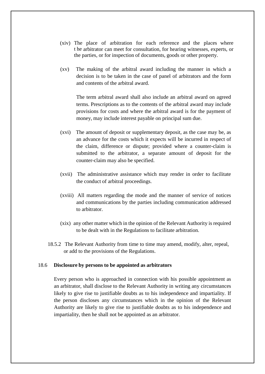- (xiv) The place of arbitration for each reference and the places where t he arbitrator can meet for consultation, for hearing witnesses, experts, or the parties, or for inspection of documents, goods or other property.
- (xv) The making of the arbitral award including the manner in which a decision is to be taken in the case of panel of arbitrators and the form and contents of the arbitral award.

The term arbitral award shall also include an arbitral award on agreed terms. Prescriptions as to the contents of the arbitral award may include provisions for costs and where the arbitral award is for the payment of money, may include interest payable on principal sum due.

- (xvi) The amount of deposit or supplementary deposit, as the case may be, as an advance for the costs which it expects will be incurred in respect of the claim, difference or dispute; provided where a counter-claim is submitted to the arbitrator, a separate amount of deposit for the counter-claim may also be specified.
- (xvii) The administrative assistance which may render in order to facilitate the conduct of arbitral proceedings.
- (xviii) All matters regarding the mode and the manner of service of notices and communications by the parties including communication addressed to arbitrator.
- (xix) any other matter which in the opinion of the Relevant Authority is required to be dealt with in the Regulations to facilitate arbitration.
- 18.5.2 The Relevant Authority from time to time may amend, modify, alter, repeal, or add to the provisions of the Regulations.

### 18.6 **Disclosure by persons to be appointed as arbitrators**

Every person who is approached in connection with his possible appointment as an arbitrator, shall disclose to the Relevant Authority in writing any circumstances likely to give rise to justifiable doubts as to his independence and impartiality. If the person discloses any circumstances which in the opinion of the Relevant Authority are likely to give rise to justifiable doubts as to his independence and impartiality, then he shall not be appointed as an arbitrator.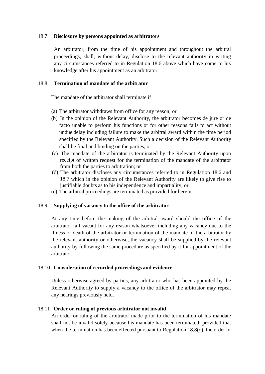### 18.7 **Disclosure by persons appointed as arbitrators**

An arbitrator, from the time of his appointment and throughout the arbitral proceedings, shall, without delay, disclose to the relevant authority in writing any circumstances referred to in Regulation 18.6 above which have come to his knowledge after his appointment as an arbitrator.

### 18.8 **Termination of mandate of the arbitrator**

The mandate of the arbitrator shall terminate if

- (a) The arbitrator withdraws from office for any reason; or
- (b) In the opinion of the Relevant Authority, the arbitrator becomes de jure or de facto unable to perform his functions or for other reasons fails to act without undue delay including failure to make the arbitral award within the time period specified by the Relevant Authority. Such a decision of the Relevant Authority shall be final and binding on the parties; or
- (c) The mandate of the arbitrator is terminated by the Relevant Authority upon receipt of written request for the termination of the mandate of the arbitrator from both the parties to arbitration; or
- (d) The arbitrator discloses any circumstances referred to in Regulation 18.6 and 18.7 which in the opinion of the Relevant Authority are likely to give rise to justifiable doubts as to his independence and impartiality; or
- (e) The arbitral proceedings are terminated as provided for herein.

#### 18.9 **Supplying of vacancy to the office of the arbitrator**

At any time before the making of the arbitral award should the office of the arbitrator fall vacant for any reason whatsoever including any vacancy due to the illness or death of the arbitrator or termination of the mandate of the arbitrator by the relevant authority or otherwise, the vacancy shall be supplied by the relevant authority by following the same procedure as specified by it for appointment of the arbitrator.

#### 18.10 **Consideration of recorded proceedings and evidence**

Unless otherwise agreed by parties, any arbitrator who has been appointed by the Relevant Authority to supply a vacancy to the office of the arbitrator may repeat any hearings previously held.

#### 18.11 **Order or ruling of previous arbitrator not invalid**

An order or ruling of the arbitrator made prior to the termination of his mandate shall not be invalid solely because his mandate has been terminated; provided that when the termination has been effected pursuant to Regulation 18.8(d), the order or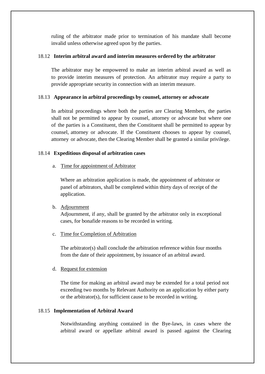ruling of the arbitrator made prior to termination of his mandate shall become invalid unless otherwise agreed upon by the parties.

# 18.12 **Interim arbitral award and interim measures ordered by the arbitrator**

The arbitrator may be empowered to make an interim arbitral award as well as to provide interim measures of protection. An arbitrator may require a party to provide appropriate security in connection with an interim measure.

# 18.13 **Appearance in arbitral proceedings by counsel, attorney or advocate**

In arbitral proceedings where both the parties are Clearing Members, the parties shall not be permitted to appear by counsel, attorney or advocate but where one of the parties is a Constituent, then the Constituent shall be permitted to appear by counsel, attorney or advocate. If the Constituent chooses to appear by counsel, attorney or advocate, then the Clearing Member shall be granted a similar privilege.

# 18.14 **Expeditious disposal of arbitration cases**

# a. Time for appointment of Arbitrator

Where an arbitration application is made, the appointment of arbitrator or panel of arbitrators, shall be completed within thirty days of receipt of the application.

# b. Adjournment

Adjournment, if any, shall be granted by the arbitrator only in exceptional cases, for bonafide reasons to be recorded in writing.

### c. Time for Completion of Arbitration

The arbitrator(s) shall conclude the arbitration reference within four months from the date of their appointment, by issuance of an arbitral award.

# d. Request for extension

The time for making an arbitral award may be extended for a total period not exceeding two months by Relevant Authority on an application by either party or the arbitrator(s), for sufficient cause to be recorded in writing.

# 18.15 **Implementation of Arbitral Award**

Notwithstanding anything contained in the Bye-laws, in cases where the arbitral award or appellate arbitral award is passed against the Clearing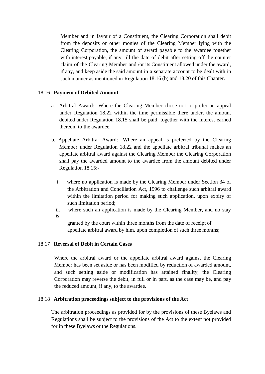Member and in favour of a Constituent, the Clearing Corporation shall debit from the deposits or other monies of the Clearing Member lying with the Clearing Corporation, the amount of award payable to the awardee together with interest payable, if any, till the date of debit after setting off the counter claim of the Clearing Member and /or its Constituent allowed under the award, if any, and keep aside the said amount in a separate account to be dealt with in such manner as mentioned in Regulation 18.16 (b) and 18.20 of this Chapter.

# 18.16 **Payment of Debited Amount**

- a. Arbitral Award:- Where the Clearing Member chose not to prefer an appeal under Regulation 18.22 within the time permissible there under, the amount debited under Regulation 18.15 shall be paid, together with the interest earned thereon, to the awardee.
- b. Appellate Arbitral Award:- Where an appeal is preferred by the Clearing Member under Regulation 18.22 and the appellate arbitral tribunal makes an appellate arbitral award against the Clearing Member the Clearing Corporation shall pay the awarded amount to the awardee from the amount debited under Regulation 18.15:
	- i. where no application is made by the Clearing Member under Section 34 of the Arbitration and Conciliation Act, 1996 to challenge such arbitral award within the limitation period for making such application, upon expiry of such limitation period;
	- ii. where such an application is made by the Clearing Member, and no stay is

granted by the court within three months from the date of receipt of appellate arbitral award by him, upon completion of such three months;

# 18.17 **Reversal of Debit in Certain Cases**

Where the arbitral award or the appellate arbitral award against the Clearing Member has been set aside or has been modified by reduction of awarded amount, and such setting aside or modification has attained finality, the Clearing Corporation may reverse the debit, in full or in part, as the case may be, and pay the reduced amount, if any, to the awardee.

### 18.18 **Arbitration proceedings subject to the provisions of the Act**

The arbitration proceedings as provided for by the provisions of these Byelaws and Regulations shall be subject to the provisions of the Act to the extent not provided for in these Byelaws or the Regulations.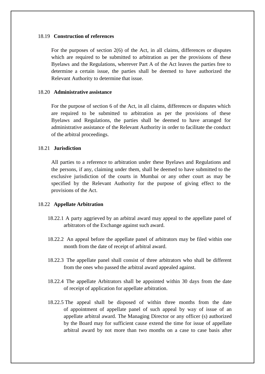#### 18.19 **Construction of references**

For the purposes of section 2(6) of the Act, in all claims, differences or disputes which are required to be submitted to arbitration as per the provisions of these Byelaws and the Regulations, wherever Part A of the Act leaves the parties free to determine a certain issue, the parties shall be deemed to have authorized the Relevant Authority to determine that issue.

#### 18.20 **Administrative assistance**

For the purpose of section 6 of the Act, in all claims, differences or disputes which are required to be submitted to arbitration as per the provisions of these Byelaws and Regulations, the parties shall be deemed to have arranged for administrative assistance of the Relevant Authority in order to facilitate the conduct of the arbitral proceedings.

### 18.21 **Jurisdiction**

All parties to a reference to arbitration under these Byelaws and Regulations and the persons, if any, claiming under them, shall be deemed to have submitted to the exclusive jurisdiction of the courts in Mumbai or any other court as may be specified by the Relevant Authority for the purpose of giving effect to the provisions of the Act.

#### 18.22 **Appellate Arbitration**

- 18.22.1 A party aggrieved by an arbitral award may appeal to the appellate panel of arbitrators of the Exchange against such award.
- 18.22.2 An appeal before the appellate panel of arbitrators may be filed within one month from the date of receipt of arbitral award.
- 18.22.3 The appellate panel shall consist of three arbitrators who shall be different from the ones who passed the arbitral award appealed against.
- 18.22.4 The appellate Arbitrators shall be appointed within 30 days from the date of receipt of application for appellate arbitration.
- 18.22.5 The appeal shall be disposed of within three months from the date of appointment of appellate panel of such appeal by way of issue of an appellate arbitral award. The Managing Director or any officer (s) authorized by the Board may for sufficient cause extend the time for issue of appellate arbitral award by not more than two months on a case to case basis after